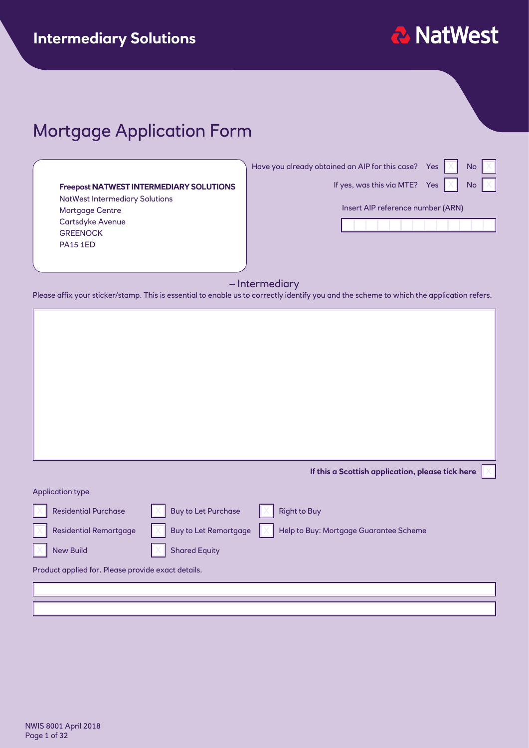

# Mortgage Application Form

|                                                | Have you already obtained an AIP for this case? Yes | <b>No</b> |
|------------------------------------------------|-----------------------------------------------------|-----------|
| <b>Freepost NATWEST INTERMEDIARY SOLUTIONS</b> | If yes, was this via MTE? Yes                       | No        |
| <b>NatWest Intermediary Solutions</b>          |                                                     |           |
| <b>Mortgage Centre</b>                         | Insert AIP reference number (ARN)                   |           |
| Cartsdyke Avenue                               |                                                     |           |
| <b>GREENOCK</b>                                |                                                     |           |
| <b>PA15 1ED</b>                                |                                                     |           |
|                                                |                                                     |           |
|                                                |                                                     |           |

#### – Intermediary

Please affix your sticker/stamp. This is essential to enable us to correctly identify you and the scheme to which the application refers.

|                                                    |                              | If this a Scottish application, please tick here |
|----------------------------------------------------|------------------------------|--------------------------------------------------|
| <b>Application type</b>                            |                              |                                                  |
| <b>Residential Purchase</b>                        | <b>Buy to Let Purchase</b>   | <b>Right to Buy</b>                              |
| <b>Residential Remortgage</b>                      | <b>Buy to Let Remortgage</b> | Help to Buy: Mortgage Guarantee Scheme           |
|                                                    |                              |                                                  |
| <b>New Build</b>                                   | <b>Shared Equity</b>         |                                                  |
| Product applied for. Please provide exact details. |                              |                                                  |
|                                                    |                              |                                                  |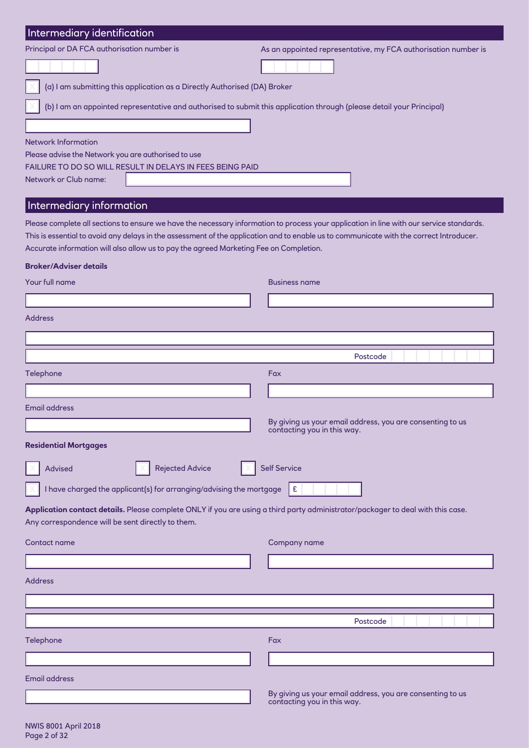| Intermediary identification                                                                                                                                                          |                                                                                          |
|--------------------------------------------------------------------------------------------------------------------------------------------------------------------------------------|------------------------------------------------------------------------------------------|
| Principal or DA FCA authorisation number is                                                                                                                                          | As an appointed representative, my FCA authorisation number is                           |
|                                                                                                                                                                                      |                                                                                          |
| (a) I am submitting this application as a Directly Authorised (DA) Broker                                                                                                            |                                                                                          |
| (b) I am an appointed representative and authorised to submit this application through (please detail your Principal)                                                                |                                                                                          |
|                                                                                                                                                                                      |                                                                                          |
| <b>Network Information</b>                                                                                                                                                           |                                                                                          |
| Please advise the Network you are authorised to use                                                                                                                                  |                                                                                          |
| FAILURE TO DO SO WILL RESULT IN DELAYS IN FEES BEING PAID                                                                                                                            |                                                                                          |
| Network or Club name:                                                                                                                                                                |                                                                                          |
| Intermediary information                                                                                                                                                             |                                                                                          |
| Please complete all sections to ensure we have the necessary information to process your application in line with our service standards.                                             |                                                                                          |
| This is essential to avoid any delays in the assessment of the application and to enable us to communicate with the correct Introducer.                                              |                                                                                          |
| Accurate information will also allow us to pay the agreed Marketing Fee on Completion.                                                                                               |                                                                                          |
| <b>Broker/Adviser details</b>                                                                                                                                                        |                                                                                          |
| Your full name                                                                                                                                                                       | <b>Business name</b>                                                                     |
|                                                                                                                                                                                      |                                                                                          |
| <b>Address</b>                                                                                                                                                                       |                                                                                          |
|                                                                                                                                                                                      |                                                                                          |
|                                                                                                                                                                                      | Postcode                                                                                 |
| Telephone                                                                                                                                                                            | Fax                                                                                      |
|                                                                                                                                                                                      |                                                                                          |
| <b>Email address</b>                                                                                                                                                                 |                                                                                          |
|                                                                                                                                                                                      | By giving us your email address, you are consenting to us<br>contacting you in this way. |
| <b>Residential Mortgages</b>                                                                                                                                                         |                                                                                          |
| <b>Rejected Advice</b><br><b>Advised</b>                                                                                                                                             | <b>Self Service</b>                                                                      |
|                                                                                                                                                                                      |                                                                                          |
| I have charged the applicant(s) for arranging/advising the mortgage                                                                                                                  | £                                                                                        |
| Application contact details. Please complete ONLY if you are using a third party administrator/packager to deal with this case.<br>Any correspondence will be sent directly to them. |                                                                                          |
| Contact name                                                                                                                                                                         | Company name                                                                             |
|                                                                                                                                                                                      |                                                                                          |
| <b>Address</b>                                                                                                                                                                       |                                                                                          |
|                                                                                                                                                                                      |                                                                                          |
|                                                                                                                                                                                      |                                                                                          |
|                                                                                                                                                                                      | Postcode                                                                                 |
| <b>Telephone</b>                                                                                                                                                                     | Fax                                                                                      |
|                                                                                                                                                                                      |                                                                                          |
| Email address                                                                                                                                                                        |                                                                                          |
|                                                                                                                                                                                      | By giving us your email address, you are consenting to us                                |

contacting you in this way.

┚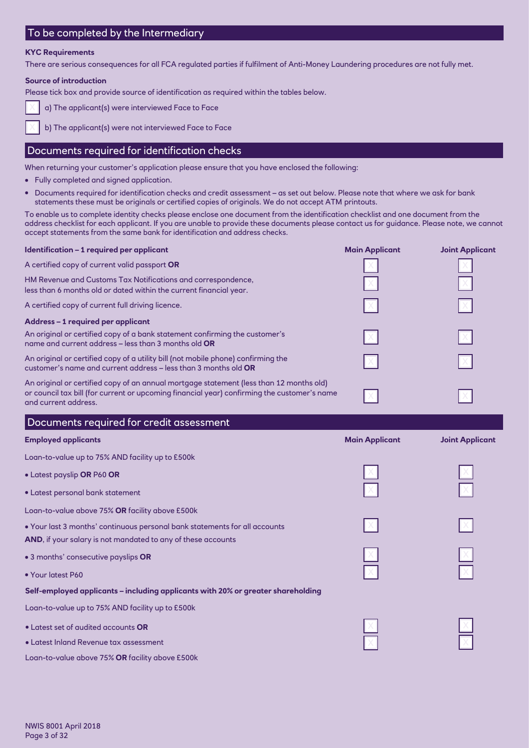#### To be completed by the Intermediary

#### **KYC Requirements**

There are serious consequences for all FCA regulated parties if fulfilment of Anti-Money Laundering procedures are not fully met.

#### **Source of introduction**

Please tick box and provide source of identification as required within the tables below.



a) The applicant(s) were interviewed Face to Face

b) The applicant(s) were not interviewed Face to Face

#### Documents required for identification checks

When returning your customer's application please ensure that you have enclosed the following:

- Fully completed and signed application.
- Documents required for identification checks and credit assessment as set out below. Please note that where we ask for bank statements these must be originals or certified copies of originals. We do not accept ATM printouts.

To enable us to complete identity checks please enclose one document from the identification checklist and one document from the address checklist for each applicant. If you are unable to provide these documents please contact us for guidance. Please note, we cannot accept statements from the same bank for identification and address checks.

| Identification - 1 required per applicant                                                                                                                                                                      | <b>Main Applicant</b> | <b>Joint Applicant</b> |
|----------------------------------------------------------------------------------------------------------------------------------------------------------------------------------------------------------------|-----------------------|------------------------|
| A certified copy of current valid passport OR                                                                                                                                                                  |                       |                        |
| HM Revenue and Customs Tax Notifications and correspondence,<br>less than 6 months old or dated within the current financial year.                                                                             |                       |                        |
| A certified copy of current full driving licence.                                                                                                                                                              |                       |                        |
| Address - 1 required per applicant                                                                                                                                                                             |                       |                        |
| An original or certified copy of a bank statement confirming the customer's<br>name and current address – less than 3 months old ${\sf OR}$                                                                    |                       |                        |
| An original or certified copy of a utility bill (not mobile phone) confirming the<br>customer's name and current address – less than 3 months old <b>OR</b>                                                    |                       |                        |
| An original or certified copy of an annual mortgage statement (less than 12 months old)<br>or council tax bill (for current or upcoming financial year) confirming the customer's name<br>and current address. |                       |                        |
| Documents required for credit assessment                                                                                                                                                                       |                       |                        |
| <b>Employed applicants</b>                                                                                                                                                                                     | <b>Main Applicant</b> | <b>Joint Applicant</b> |
| Loan-to-value up to 75% AND facility up to £500k                                                                                                                                                               |                       |                        |
| · Latest payslip OR P60 OR                                                                                                                                                                                     |                       |                        |
| • Latest personal bank statement                                                                                                                                                                               |                       |                        |
| Loan-to-value above 75% OR facility above £500k                                                                                                                                                                |                       |                        |
| . Your last 3 months' continuous personal bank statements for all accounts                                                                                                                                     |                       |                        |
| AND, if your salary is not mandated to any of these accounts                                                                                                                                                   |                       |                        |
| • 3 months' consecutive payslips OR                                                                                                                                                                            |                       |                        |
| • Your latest P60                                                                                                                                                                                              |                       |                        |
| Self-employed applicants - including applicants with 20% or greater shareholding                                                                                                                               |                       |                        |
| Loan-to-value up to 75% AND facility up to £500k                                                                                                                                                               |                       |                        |
| • Latest set of audited accounts OR                                                                                                                                                                            |                       |                        |
| • Latest Inland Revenue tax assessment                                                                                                                                                                         |                       |                        |
| Loan-to-value above 75% OR facility above £500k                                                                                                                                                                |                       |                        |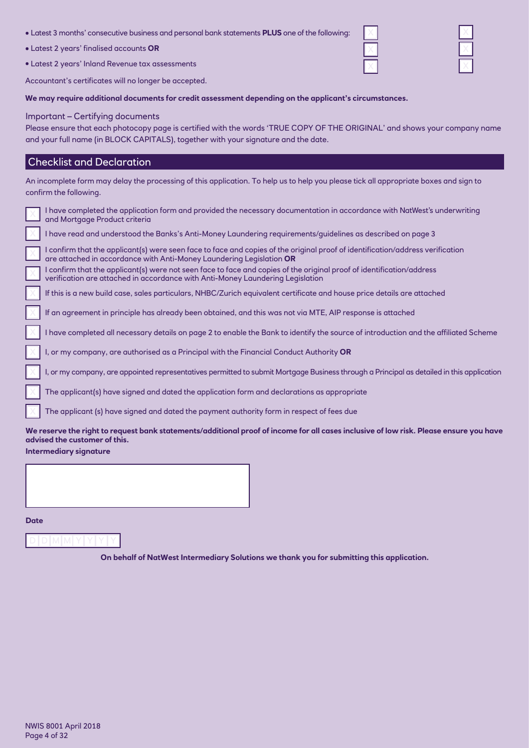- Latest 3 months' consecutive business and personal bank statements **PLUS** one of the following:
- Latest 2 years' finalised accounts **OR**
- Latest 2 years' Inland Revenue tax assessments

Accountant's certificates will no longer be accepted.

**We may require additional documents for credit assessment depending on the applicant's circumstances.**

#### Important – Certifying documents

Please ensure that each photocopy page is certified with the words 'TRUE COPY OF THE ORIGINAL' and shows your company name and your full name (in BLOCK CAPITALS), together with your signature and the date.

#### Checklist and Declaration

| An incomplete form may delay the processing of this application. To help us to help you please tick all appropriate boxes and sign to<br>confirm the following.                                        |
|--------------------------------------------------------------------------------------------------------------------------------------------------------------------------------------------------------|
| I have completed the application form and provided the necessary documentation in accordance with NatWest's underwriting                                                                               |
| and Mortgage Product criteria                                                                                                                                                                          |
| I have read and understood the Banks's Anti-Money Laundering requirements/quidelines as described on page 3                                                                                            |
| I confirm that the applicant(s) were seen face to face and copies of the original proof of identification/address verification<br>are attached in accordance with Anti-Money Laundering Legislation OR |
| confirm that the applicant(s) were not seen face to face and copies of the original proof of identification/address<br>verification are attached in accordance with Anti-Money Laundering Legislation  |
| If this is a new build case, sales particulars, NHBC/Zurich equivalent certificate and house price details are attached                                                                                |
| If an agreement in principle has already been obtained, and this was not via MTE, AIP response is attached                                                                                             |
| have completed all necessary details on page 2 to enable the Bank to identify the source of introduction and the affiliated Scheme                                                                     |
| I, or my company, are authorised as a Principal with the Financial Conduct Authority OR                                                                                                                |
| I, or my company, are appointed representatives permitted to submit Mortgage Business through a Principal as detailed in this application                                                              |
| The applicant(s) have signed and dated the application form and declarations as appropriate                                                                                                            |
| The applicant (s) have signed and dated the payment authority form in respect of fees due                                                                                                              |
| We reserve the right to request bank statements/additional proof of income for all cases inclusive of low risk. Please ensure you have<br>advised the customer of this.                                |
| <b>Intermediary signature</b>                                                                                                                                                                          |
|                                                                                                                                                                                                        |

**Date**

**On behalf of NatWest Intermediary Solutions we thank you for submitting this application.**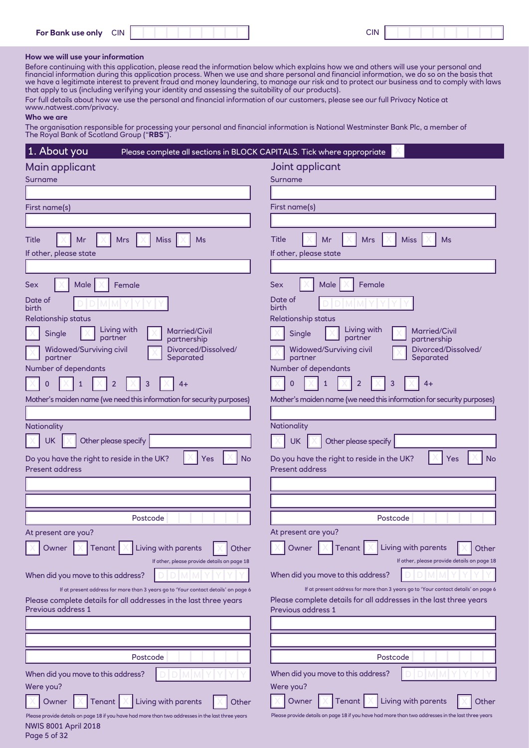| <b>For Bank use only</b> | <b>CIN</b><br>___ | <b>CIN</b> |  |
|--------------------------|-------------------|------------|--|
|                          |                   |            |  |

#### **How we will use your information**

Before continuing with this application, please read the information below which explains how we and others will use your personal and financial information during this application process. When we use and share personal and financial information, we do so on the basis that we have a legitimate interest to prevent fraud and money laundering, to manage our risk and to protect our business and to comply with laws that apply to us (including verifying your identity and assessing the suitability of our products).

For full details about how we use the personal and financial information of our customers, please see our full Privacy Notice at www.natwest.com/privacy.

#### **Who we are**

The organisation responsible for processing your personal and financial information is National Westminster Bank Plc, a member of The Royal Bank of Scotland Group ("**RBS**").

| 1. About you<br>Please complete all sections in BLOCK CAPITALS. Tick where appropriate                                                                                        |                                                                                                                          |
|-------------------------------------------------------------------------------------------------------------------------------------------------------------------------------|--------------------------------------------------------------------------------------------------------------------------|
| Main applicant                                                                                                                                                                | Joint applicant                                                                                                          |
| Surname                                                                                                                                                                       | Surname                                                                                                                  |
|                                                                                                                                                                               |                                                                                                                          |
| First name(s)                                                                                                                                                                 | First name(s)                                                                                                            |
|                                                                                                                                                                               |                                                                                                                          |
| <b>Title</b><br>Mr<br><b>Mrs</b><br><b>Miss</b><br>Ms                                                                                                                         | <b>Title</b><br><b>Miss</b><br>Ms<br>Mr<br><b>Mrs</b>                                                                    |
| If other, please state                                                                                                                                                        | If other, please state                                                                                                   |
|                                                                                                                                                                               |                                                                                                                          |
| <b>Sex</b><br>Male<br>Female                                                                                                                                                  | Sex<br>Female<br>Male                                                                                                    |
| Date of<br>birth                                                                                                                                                              | Date of<br>birth                                                                                                         |
| <b>Relationship status</b>                                                                                                                                                    | <b>Relationship status</b>                                                                                               |
| Living with<br>Married/Civil<br>Single<br>partner<br>partnership                                                                                                              | Living with<br>Married/Civil<br>Single<br>partner<br>partnership                                                         |
| Widowed/Surviving civil<br>Divorced/Dissolved/<br>partner<br>Separated<br>Number of dependants                                                                                | <b>Widowed/Surviving civil</b><br>Divorced/Dissolved/<br>partner<br>Separated<br>Number of dependants                    |
| 2<br>3<br>1<br>4+                                                                                                                                                             | 3<br>$\overline{0}$<br>2<br>4+                                                                                           |
| Mother's maiden name (we need this information for security purposes)                                                                                                         | Mother's maiden name (we need this information for security purposes)                                                    |
|                                                                                                                                                                               |                                                                                                                          |
| Nationality                                                                                                                                                                   | <b>Nationality</b>                                                                                                       |
| <b>UK</b><br>Other please specify                                                                                                                                             | <b>UK</b><br>Other please specify                                                                                        |
| <b>No</b><br>Do you have the right to reside in the UK?<br>Yes<br><b>Present address</b>                                                                                      | Do you have the right to reside in the UK?<br><b>No</b><br>Yes<br><b>Present address</b>                                 |
|                                                                                                                                                                               |                                                                                                                          |
|                                                                                                                                                                               |                                                                                                                          |
| Postcode                                                                                                                                                                      | Postcode                                                                                                                 |
| At present are you?                                                                                                                                                           | At present are you?                                                                                                      |
| Owner<br>Tenant  <br>Living with parents<br>Other                                                                                                                             | Living with parents<br>Owner<br>Tenant $\vert \times$<br>Other                                                           |
| If other, please provide details on page 18                                                                                                                                   | If other, please provide details on page 18                                                                              |
| When did you move to this address?                                                                                                                                            | When did you move to this address?<br>If at present address for more than 3 years go to 'Your contact details' on page 6 |
| If at present address for more than 3 years go to 'Your contact details' on page 6<br>Please complete details for all addresses in the last three years<br>Previous address 1 | Please complete details for all addresses in the last three years<br>Previous address 1                                  |
|                                                                                                                                                                               |                                                                                                                          |
|                                                                                                                                                                               |                                                                                                                          |
| Postcode                                                                                                                                                                      | Postcode                                                                                                                 |
| When did you move to this address?                                                                                                                                            | When did you move to this address?                                                                                       |
| Were you?                                                                                                                                                                     | Were you?                                                                                                                |
| Living with parents<br>Owner<br>Tenant<br>Other                                                                                                                               | Living with parents<br>Owner<br>Tenant<br>Other                                                                          |
| Please provide details on page 18 if you have had more than two addresses in the last three years<br><b>NWIS 8001 April 2018</b>                                              | Please provide details on page 18 if you have had more than two addresses in the last three years                        |

Page 5 of 32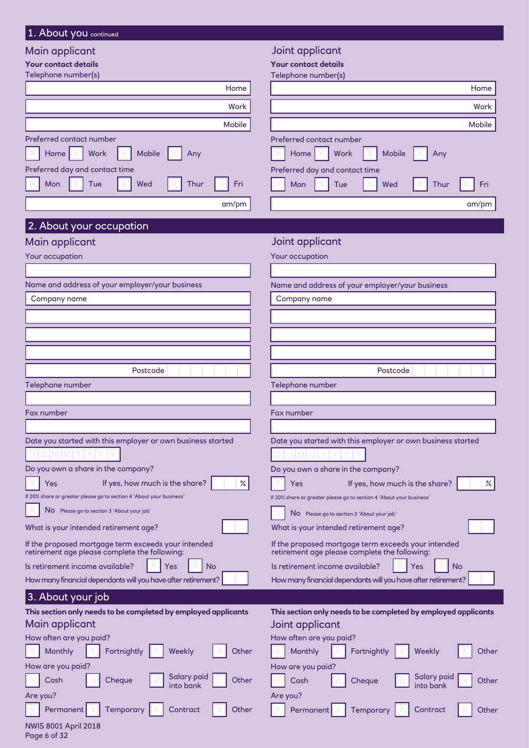#### 1. About you continued

#### Main applicant

|  | Joint applicant |  |  |  |
|--|-----------------|--|--|--|
|  |                 |  |  |  |
|  |                 |  |  |  |

Telephone number

Fax number

Yes

Postcode

If yes, how much is the share?  $\sim$  %

Date you started with this employer or own business started

Do you own a share in the company?

If 20% share or greater please go to section 4 'About your business'

If the proposed mortgage term exceeds your intended retirement age please complete the following:

Is retirement income available?  $\|\times\|$  Yes  $\|\times\|$  No How many financial dependants will you have after retirement?

No Please go to section 3 'About your job'

What is your intended retirement age?

| main applicant                                                                                                                                                                  | some applicant                                                                                                                           |
|---------------------------------------------------------------------------------------------------------------------------------------------------------------------------------|------------------------------------------------------------------------------------------------------------------------------------------|
| <b>Your contact details</b>                                                                                                                                                     | <b>Your contact details</b>                                                                                                              |
| Telephone number(s)                                                                                                                                                             | Telephone number(s)                                                                                                                      |
| Home                                                                                                                                                                            | Home                                                                                                                                     |
| Work                                                                                                                                                                            | Work                                                                                                                                     |
| Mobile                                                                                                                                                                          | Mobile                                                                                                                                   |
| Preferred contact number<br>Work<br>Mobile<br>Home $ \times $<br>Any<br>Preferred day and contact time<br>Tue<br>Wed<br>Fri<br>Mon<br>Thur<br>am/pm<br>2. About your occupation | Preferred contact number<br>Mobile<br>Home<br>Work<br>Any<br>Preferred day and contact time<br>Mon<br>Tue<br>Wed<br>Fri<br>Thur<br>am/pm |
| Main applicant                                                                                                                                                                  | Joint applicant                                                                                                                          |
| Your occupation                                                                                                                                                                 | Your occupation                                                                                                                          |
| Name and address of your employer/your business                                                                                                                                 | Name and address of your employer/your business                                                                                          |
| Company name                                                                                                                                                                    | Company name                                                                                                                             |
|                                                                                                                                                                                 |                                                                                                                                          |
|                                                                                                                                                                                 |                                                                                                                                          |
|                                                                                                                                                                                 |                                                                                                                                          |

Telephone number

Fax number

Date you started with this employer or own business started

Postcode

Do you own a share in the company?

| $X$ Yes | If yes, how much is the share? $\vert$                               | $\%$ |
|---------|----------------------------------------------------------------------|------|
|         | If 20% share or greater please go to section 4 'About your business' |      |
|         | $\overline{\mathbb{X}}$ No Please go to section 3 'About your job'   |      |

| What is your intended retirement age? |  |
|---------------------------------------|--|
|---------------------------------------|--|

| If the proposed mortgage term exceeds your intended |  |
|-----------------------------------------------------|--|
| retirement age please complete the following:       |  |
|                                                     |  |

Is retirement income available?  $X \times Y$ es  $X \times Y$ 

| How many financial dependants will you have after retirement? |
|---------------------------------------------------------------|
|---------------------------------------------------------------|

## 3. About your job

| This section only needs to be completed by employed applicants<br>Main applicant                           | This section only needs to be completed by employed applicants<br>Joint applicant |
|------------------------------------------------------------------------------------------------------------|-----------------------------------------------------------------------------------|
|                                                                                                            |                                                                                   |
| How often are you paid?                                                                                    | How often are you paid?                                                           |
| $\boxed{\times}$ Monthly $\boxed{\times}$ Fortnightly $\boxed{\times}$ Weekly<br>Other                     | Fortnightly $\  \times \ $ Weekly<br>$\ \times\ $ Monthly<br>Other                |
| How are you paid?                                                                                          | How are you paid?                                                                 |
| Cheque $\overline{\phantom{a}}$ Salary paid $\overline{\phantom{a}}$<br>$\vert \times \vert$ Cash<br>Other | $\boxed{\times}$ Salary paid $\boxed{\phantom{1}}$<br>Cash<br>Cheque<br>Other     |
| Are you?                                                                                                   | Are you?                                                                          |
| $\ X\ $ Permanent $\ X\ $ Temporary $\ X\ $ Contract<br>Other                                              | $\ X\ $ Permanent $\ X\ $ Temporary $\ X\ $ Contract<br>Other                     |

#### NWIS 8001 April 2018 Page 6 of 32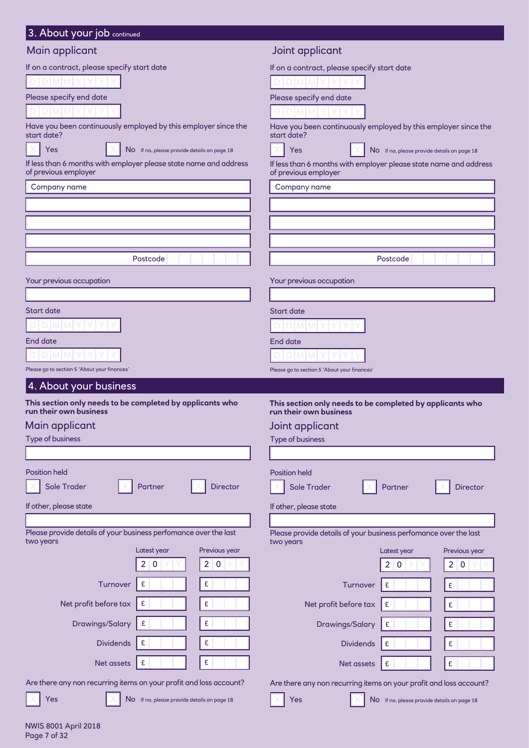| Main applicant                                                                            |                                                                                           |
|-------------------------------------------------------------------------------------------|-------------------------------------------------------------------------------------------|
|                                                                                           | Joint applicant                                                                           |
| If on a contract, please specify start date                                               | If on a contract, please specify start date                                               |
|                                                                                           |                                                                                           |
| Please specify end date                                                                   | Please specify end date                                                                   |
|                                                                                           |                                                                                           |
| Have you been continuously employed by this employer since the<br>start date?             | Have you been continuously employed by this employer since the<br>start date?             |
| Yes<br>No If no, please provide details on page 18                                        | <b>Yes</b><br>No If no, please provide details on page 18                                 |
| If less than 6 months with employer please state name and address<br>of previous employer | If less than 6 months with employer please state name and address<br>of previous employer |
| Company name                                                                              | Company name                                                                              |
|                                                                                           |                                                                                           |
|                                                                                           |                                                                                           |
|                                                                                           |                                                                                           |
| Postcode                                                                                  | Postcode                                                                                  |
| Your previous occupation                                                                  |                                                                                           |
|                                                                                           | Your previous occupation                                                                  |
| <b>Start date</b>                                                                         | <b>Start date</b>                                                                         |
|                                                                                           |                                                                                           |
| End date                                                                                  | <b>End date</b>                                                                           |
|                                                                                           |                                                                                           |
| Please go to section 5 'About your finances'                                              | Please go to section 5 'About your finances'                                              |
| 4. About your business                                                                    |                                                                                           |
| This section only needs to be completed by applicants who                                 |                                                                                           |
| run their own business                                                                    | This section only needs to be completed by applicants who<br>run their own business       |
| Main applicant                                                                            | Joint applicant                                                                           |
| <b>Type of business</b>                                                                   | <b>Type of business</b>                                                                   |
|                                                                                           |                                                                                           |
| <b>Position held</b><br>Sole Trader<br><b>Director</b><br>Partner                         | <b>Position held</b><br>Sole Trader<br>Partner<br><b>Director</b>                         |
|                                                                                           |                                                                                           |
| If other, please state                                                                    | If other, please state                                                                    |
| Please provide details of your business perfomance over the last<br>two years             | Please provide details of your business perfomance over the last<br>two years             |
| Latest year<br>Previous year                                                              | Previous year<br>Latest year                                                              |
| 2 0<br>2 0                                                                                | 2 0<br>2 0                                                                                |
| £<br>Turnover<br>£                                                                        | Turnover<br>£<br>$\pmb{\mathsf{E}}$                                                       |
| Net profit before tax<br>£<br>£                                                           | Net profit before tax<br>£<br>£                                                           |
| <b>Drawings/Salary</b><br>£<br>£                                                          | <b>Drawings/Salary</b><br>£<br>£                                                          |
| $\pmb{\mathsf{E}}$<br><b>Dividends</b><br>£                                               | £<br>$\pmb{\mathfrak{E}}$<br><b>Dividends</b>                                             |
| £<br>Net assets<br>£                                                                      | £<br>Net assets<br>£                                                                      |
| Are there any non recurring items on your profit and loss account?                        | Are there any non recurring items on your profit and loss account?                        |

NWIS 8001 April 2018 Page 7 of 32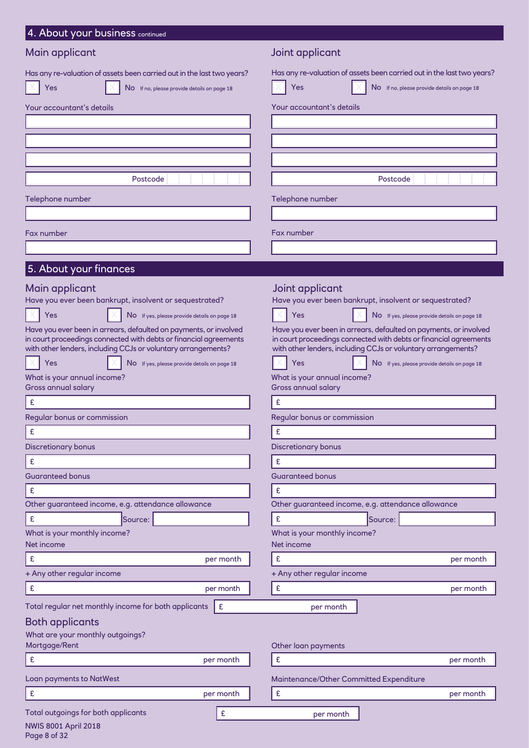| 4. About your business continued                                                                                                                          |                                                                                                                                                           |
|-----------------------------------------------------------------------------------------------------------------------------------------------------------|-----------------------------------------------------------------------------------------------------------------------------------------------------------|
| Main applicant                                                                                                                                            | Joint applicant                                                                                                                                           |
| Has any re-valuation of assets been carried out in the last two years?<br>Yes<br>No If no, please provide details on page 18<br>Your accountant's details | Has any re-valuation of assets been carried out in the last two years?<br>Yes<br>NO If no, please provide details on page 18<br>Your accountant's details |
|                                                                                                                                                           |                                                                                                                                                           |
|                                                                                                                                                           |                                                                                                                                                           |
|                                                                                                                                                           |                                                                                                                                                           |
| Postcode                                                                                                                                                  | Postcode                                                                                                                                                  |
|                                                                                                                                                           |                                                                                                                                                           |
| Telephone number                                                                                                                                          | Telephone number                                                                                                                                          |
|                                                                                                                                                           |                                                                                                                                                           |
| Fax number                                                                                                                                                | Fax number                                                                                                                                                |
|                                                                                                                                                           |                                                                                                                                                           |
| 5. About your finances                                                                                                                                    |                                                                                                                                                           |
| Main applicant<br>Have you ever been bankrupt, insolvent or sequestrated?                                                                                 | Joint applicant<br>Have you ever been bankrupt, insolvent or sequestrated?                                                                                |
| Yes<br>No If yes, please provide details on page 18                                                                                                       | Yes<br>No If yes, please provide details on page 18                                                                                                       |
| Have you ever been in arrears, defaulted on payments, or involved<br>in court proceedings connected with debts or financial agreements                    | Have you ever been in arrears, defaulted on payments, or involved<br>in court proceedings connected with debts or financial agreements                    |
| with other lenders, including CCJs or voluntary arrangements?<br>Yes<br>No If yes, please provide details on page 18                                      | with other lenders, including CCJs or voluntary arrangements?<br>Yes<br>No If yes, please provide details on page 18                                      |
| What is your annual income?                                                                                                                               | What is your annual income?                                                                                                                               |
| <b>Gross annual salary</b>                                                                                                                                | Gross annual salary                                                                                                                                       |
| $\pmb{\mathsf{E}}$                                                                                                                                        | £                                                                                                                                                         |
| Regular bonus or commission                                                                                                                               | Regular bonus or commission                                                                                                                               |
| £                                                                                                                                                         | £                                                                                                                                                         |
| <b>Discretionary bonus</b>                                                                                                                                | <b>Discretionary bonus</b>                                                                                                                                |
| £<br><b>Guaranteed bonus</b>                                                                                                                              | £<br><b>Guaranteed bonus</b>                                                                                                                              |
| £                                                                                                                                                         | £                                                                                                                                                         |
| Other guaranteed income, e.g. attendance allowance                                                                                                        | Other guaranteed income, e.g. attendance allowance                                                                                                        |
| $\pmb{\mathsf{E}}$<br>Source:                                                                                                                             | $\pmb{\mathfrak{E}}$<br>Source:                                                                                                                           |
| What is your monthly income?<br>Net income                                                                                                                | What is your monthly income?<br>Net income                                                                                                                |
| $\pmb{\mathsf{E}}$<br>per month                                                                                                                           | $\pmb{\mathfrak{E}}$<br>per month                                                                                                                         |
| + Any other regular income                                                                                                                                | + Any other regular income                                                                                                                                |
| $\mathbf f$<br>per month                                                                                                                                  | $\pmb{\mathfrak{E}}$<br>per month                                                                                                                         |
| Total regular net monthly income for both applicants<br>£                                                                                                 | per month                                                                                                                                                 |
| Both applicants                                                                                                                                           |                                                                                                                                                           |
| What are your monthly outgoings?<br>Mortgage/Rent                                                                                                         | Other loan payments                                                                                                                                       |
| E<br>per month                                                                                                                                            | £<br>per month                                                                                                                                            |
| Loan payments to NatWest                                                                                                                                  | Maintenance/Other Committed Expenditure                                                                                                                   |
| $\pmb{\mathsf{E}}$<br>per month                                                                                                                           | $\pmb{\mathfrak{E}}$<br>per month                                                                                                                         |
|                                                                                                                                                           |                                                                                                                                                           |
| Total outgoings for both applicants<br>£<br><b>NWIS 8001 April 2018</b>                                                                                   | per month                                                                                                                                                 |

Page 8 of 32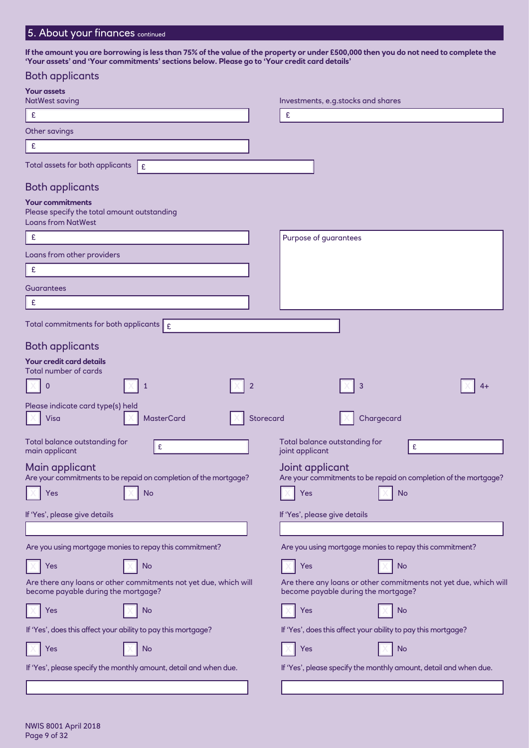## 5. About your finances continued

**If the amount you are borrowing is less than 75% of the value of the property or under £500,000 then you do not need to complete the 'Your assets' and 'Your commitments' sections below. Please go to 'Your credit card details'**

| <b>Both applicants</b>                                                                                  |                                                                                                         |
|---------------------------------------------------------------------------------------------------------|---------------------------------------------------------------------------------------------------------|
| <b>Your assets</b>                                                                                      |                                                                                                         |
| <b>NatWest saving</b><br>$\pmb{\mathsf{E}}$                                                             | Investments, e.g.stocks and shares<br>£                                                                 |
| Other savings                                                                                           |                                                                                                         |
| $\mathbf f$                                                                                             |                                                                                                         |
| Total assets for both applicants<br>Ι£                                                                  |                                                                                                         |
|                                                                                                         |                                                                                                         |
| <b>Both applicants</b>                                                                                  |                                                                                                         |
| <b>Your commitments</b><br>Please specify the total amount outstanding<br><b>Loans from NatWest</b>     |                                                                                                         |
| £                                                                                                       | Purpose of guarantees                                                                                   |
| Loans from other providers                                                                              |                                                                                                         |
| £                                                                                                       |                                                                                                         |
| <b>Guarantees</b>                                                                                       |                                                                                                         |
| £                                                                                                       |                                                                                                         |
| Total commitments for both applicants $\mid$ $_{\tiny \text{E}}$                                        |                                                                                                         |
|                                                                                                         |                                                                                                         |
| <b>Both applicants</b><br>Your credit card details                                                      |                                                                                                         |
| <b>Total number of cards</b>                                                                            |                                                                                                         |
| $\overline{2}$<br>$\mathbf 0$<br>1                                                                      | 3                                                                                                       |
| Please indicate card type(s) held<br><b>Visa</b><br><b>MasterCard</b><br>Storecard                      | Chargecard                                                                                              |
| Total balance outstanding for<br>£<br>main applicant                                                    | Total balance outstanding for<br>£<br>joint applicant                                                   |
| Main applicant<br>Are your commitments to be repaid on completion of the mortgage?                      | Joint applicant<br>Are your commitments to be repaid on completion of the mortgage?                     |
| No<br>Yes                                                                                               | <b>No</b><br>Yes                                                                                        |
| If 'Yes', please give details                                                                           | If 'Yes', please give details                                                                           |
|                                                                                                         |                                                                                                         |
| Are you using mortgage monies to repay this commitment?                                                 | Are you using mortgage monies to repay this commitment?                                                 |
| <b>No</b><br>Yes                                                                                        | <b>No</b><br>Yes                                                                                        |
| Are there any loans or other commitments not yet due, which will<br>become payable during the mortgage? | Are there any loans or other commitments not yet due, which will<br>become payable during the mortgage? |
| No<br>Yes                                                                                               | Yes<br>No                                                                                               |
| If 'Yes', does this affect your ability to pay this mortgage?                                           | If 'Yes', does this affect your ability to pay this mortgage?                                           |
| <b>No</b><br>Yes                                                                                        | Yes<br><b>No</b>                                                                                        |
| If 'Yes', please specify the monthly amount, detail and when due.                                       | If 'Yes', please specify the monthly amount, detail and when due.                                       |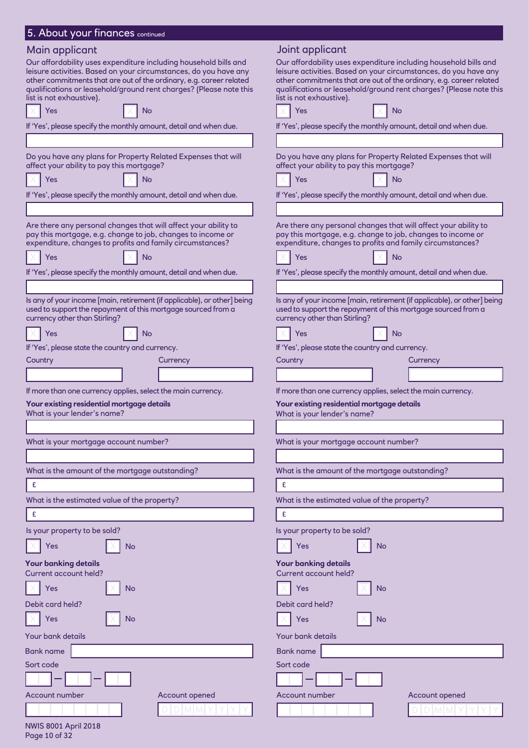| 5. About your finances continued                                                                                                                                                                                                                                                                              |                                                                                                                                                                                                                                                                                                               |
|---------------------------------------------------------------------------------------------------------------------------------------------------------------------------------------------------------------------------------------------------------------------------------------------------------------|---------------------------------------------------------------------------------------------------------------------------------------------------------------------------------------------------------------------------------------------------------------------------------------------------------------|
| Main applicant                                                                                                                                                                                                                                                                                                | Joint applicant                                                                                                                                                                                                                                                                                               |
| Our affordability uses expenditure including household bills and<br>leisure activities. Based on your circumstances, do you have any<br>other commitments that are out of the ordinary, e.g. career related<br>qualifications or leasehold/ground rent charges? (Please note this<br>list is not exhaustive). | Our affordability uses expenditure including household bills and<br>leisure activities. Based on your circumstances, do you have any<br>other commitments that are out of the ordinary, e.g. career related<br>qualifications or leasehold/ground rent charges? (Please note this<br>list is not exhaustive). |
| Yes<br>No                                                                                                                                                                                                                                                                                                     | Yes<br>No                                                                                                                                                                                                                                                                                                     |
| If 'Yes', please specify the monthly amount, detail and when due.                                                                                                                                                                                                                                             | If 'Yes', please specify the monthly amount, detail and when due.                                                                                                                                                                                                                                             |
| Do you have any plans for Property Related Expenses that will<br>affect your ability to pay this mortgage?                                                                                                                                                                                                    | Do you have any plans for Property Related Expenses that will<br>affect your ability to pay this mortgage?                                                                                                                                                                                                    |
| Yes<br>No                                                                                                                                                                                                                                                                                                     | Yes<br>No                                                                                                                                                                                                                                                                                                     |
| If 'Yes', please specify the monthly amount, detail and when due.                                                                                                                                                                                                                                             | If 'Yes', please specify the monthly amount, detail and when due.                                                                                                                                                                                                                                             |
|                                                                                                                                                                                                                                                                                                               |                                                                                                                                                                                                                                                                                                               |
| Are there any personal changes that will affect your ability to<br>pay this mortgage, e.g. change to job, changes to income or<br>expenditure, changes to profits and family circumstances?<br>Yes<br>No<br>If 'Yes', please specify the monthly amount, detail and when due.                                 | Are there any personal changes that will affect your ability to<br>pay this mortgage, e.g. change to job, changes to income or<br>expenditure, changes to profits and family circumstances?<br>Yes<br>No<br>If 'Yes', please specify the monthly amount, detail and when due.                                 |
|                                                                                                                                                                                                                                                                                                               |                                                                                                                                                                                                                                                                                                               |
| Is any of your income [main, retirement (if applicable), or other] being<br>used to support the repayment of this mortgage sourced from a<br>currency other than Stirling?                                                                                                                                    | Is any of your income [main, retirement (if applicable), or other] being<br>used to support the repayment of this mortgage sourced from a<br>currency other than Stirling?                                                                                                                                    |
| No<br>Yes                                                                                                                                                                                                                                                                                                     | No<br>Yes                                                                                                                                                                                                                                                                                                     |
| If 'Yes', please state the country and currency.                                                                                                                                                                                                                                                              | If 'Yes', please state the country and currency.                                                                                                                                                                                                                                                              |
| Country<br>Currency                                                                                                                                                                                                                                                                                           | Country<br>Currency                                                                                                                                                                                                                                                                                           |
|                                                                                                                                                                                                                                                                                                               |                                                                                                                                                                                                                                                                                                               |
| If more than one currency applies, select the main currency.                                                                                                                                                                                                                                                  | If more than one currency applies, select the main currency.                                                                                                                                                                                                                                                  |
| Your existing residential mortgage details<br>What is your lender's name?                                                                                                                                                                                                                                     | Your existing residential mortgage details<br>What is your lender's name?                                                                                                                                                                                                                                     |
|                                                                                                                                                                                                                                                                                                               |                                                                                                                                                                                                                                                                                                               |
| What is your mortgage account number?                                                                                                                                                                                                                                                                         | What is your mortgage account number?                                                                                                                                                                                                                                                                         |
|                                                                                                                                                                                                                                                                                                               |                                                                                                                                                                                                                                                                                                               |
| What is the amount of the mortgage outstanding?                                                                                                                                                                                                                                                               | What is the amount of the mortgage outstanding?                                                                                                                                                                                                                                                               |
| £                                                                                                                                                                                                                                                                                                             | £                                                                                                                                                                                                                                                                                                             |
| What is the estimated value of the property?                                                                                                                                                                                                                                                                  | What is the estimated value of the property?                                                                                                                                                                                                                                                                  |
| £                                                                                                                                                                                                                                                                                                             | £                                                                                                                                                                                                                                                                                                             |
| Is your property to be sold?                                                                                                                                                                                                                                                                                  | Is your property to be sold?                                                                                                                                                                                                                                                                                  |
| Yes<br>No                                                                                                                                                                                                                                                                                                     | No<br>Yes                                                                                                                                                                                                                                                                                                     |
| <b>Your banking details</b><br>Current account held?                                                                                                                                                                                                                                                          | Your banking details<br>Current account held?                                                                                                                                                                                                                                                                 |
| <b>No</b><br>Yes                                                                                                                                                                                                                                                                                              | Yes<br><b>No</b>                                                                                                                                                                                                                                                                                              |
|                                                                                                                                                                                                                                                                                                               |                                                                                                                                                                                                                                                                                                               |
| Debit card held?<br>No<br>Yes                                                                                                                                                                                                                                                                                 | Debit card held?<br>No<br>Yes                                                                                                                                                                                                                                                                                 |
| Your bank details                                                                                                                                                                                                                                                                                             | Your bank details                                                                                                                                                                                                                                                                                             |
| Bank name                                                                                                                                                                                                                                                                                                     | Bank name                                                                                                                                                                                                                                                                                                     |
| Sort code                                                                                                                                                                                                                                                                                                     | Sort code                                                                                                                                                                                                                                                                                                     |
|                                                                                                                                                                                                                                                                                                               |                                                                                                                                                                                                                                                                                                               |
| Account number<br>Account opened                                                                                                                                                                                                                                                                              | Account number<br>Account opened                                                                                                                                                                                                                                                                              |
|                                                                                                                                                                                                                                                                                                               |                                                                                                                                                                                                                                                                                                               |

NWIS 8001 April 2018 Page 10 of 32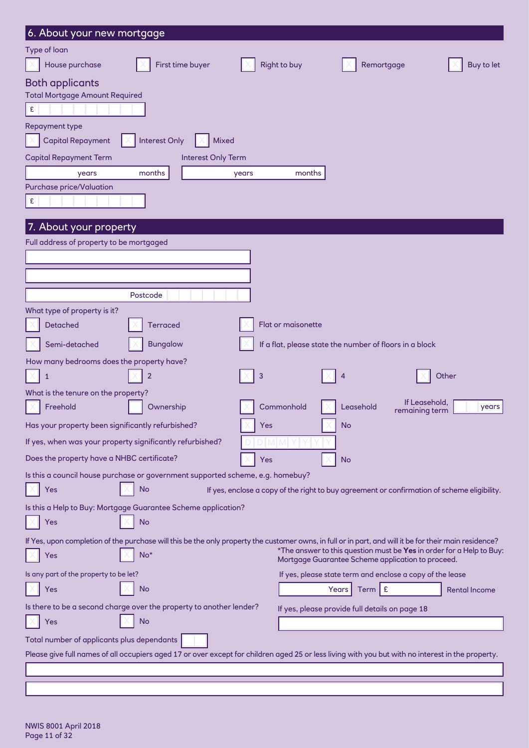| 6. About your new mortgage                                                                                                                             |                     |                                                                                                                           |                                          |
|--------------------------------------------------------------------------------------------------------------------------------------------------------|---------------------|---------------------------------------------------------------------------------------------------------------------------|------------------------------------------|
| Type of loan<br>House purchase<br>First time buyer                                                                                                     | <b>Right to buy</b> | Remortgage                                                                                                                | Buy to let                               |
|                                                                                                                                                        |                     |                                                                                                                           |                                          |
| <b>Both applicants</b><br><b>Total Mortgage Amount Required</b>                                                                                        |                     |                                                                                                                           |                                          |
| $\pmb{\epsilon}$                                                                                                                                       |                     |                                                                                                                           |                                          |
| <b>Repayment type</b>                                                                                                                                  |                     |                                                                                                                           |                                          |
| <b>Capital Repayment</b><br><b>Interest Only</b><br><b>Mixed</b>                                                                                       |                     |                                                                                                                           |                                          |
| <b>Capital Repayment Term</b><br><b>Interest Only Term</b>                                                                                             |                     |                                                                                                                           |                                          |
| months<br>years                                                                                                                                        | months<br>years     |                                                                                                                           |                                          |
| <b>Purchase price/Valuation</b>                                                                                                                        |                     |                                                                                                                           |                                          |
| $\mathbf{E}% _{0}$                                                                                                                                     |                     |                                                                                                                           |                                          |
| 7. About your property                                                                                                                                 |                     |                                                                                                                           |                                          |
| Full address of property to be mortgaged                                                                                                               |                     |                                                                                                                           |                                          |
|                                                                                                                                                        |                     |                                                                                                                           |                                          |
|                                                                                                                                                        |                     |                                                                                                                           |                                          |
|                                                                                                                                                        |                     |                                                                                                                           |                                          |
| Postcode                                                                                                                                               |                     |                                                                                                                           |                                          |
| What type of property is it?                                                                                                                           |                     |                                                                                                                           |                                          |
| Detached<br><b>Terraced</b>                                                                                                                            | Flat or maisonette  |                                                                                                                           |                                          |
| Semi-detached<br><b>Bungalow</b>                                                                                                                       |                     | If a flat, please state the number of floors in a block                                                                   |                                          |
| How many bedrooms does the property have?                                                                                                              |                     |                                                                                                                           |                                          |
| $\overline{2}$<br>1                                                                                                                                    | 3                   | 4                                                                                                                         | Other                                    |
| What is the tenure on the property?                                                                                                                    |                     |                                                                                                                           |                                          |
| Freehold<br>Ownership                                                                                                                                  | Commonhold          | Leasehold                                                                                                                 | If Leasehold,<br>years<br>remaining term |
| Has your property been significantly refurbished?                                                                                                      | <b>Yes</b>          | <b>No</b>                                                                                                                 |                                          |
| If yes, when was your property significantly refurbished?                                                                                              |                     |                                                                                                                           |                                          |
| Does the property have a NHBC certificate?                                                                                                             | Yes                 | <b>No</b>                                                                                                                 |                                          |
|                                                                                                                                                        |                     |                                                                                                                           |                                          |
| Is this a council house purchase or government supported scheme, e.g. homebuy?<br>No<br>Yes                                                            |                     | If yes, enclose a copy of the right to buy agreement or confirmation of scheme eligibility.                               |                                          |
|                                                                                                                                                        |                     |                                                                                                                           |                                          |
| Is this a Help to Buy: Mortgage Guarantee Scheme application?<br>No<br>Yes                                                                             |                     |                                                                                                                           |                                          |
| If Yes, upon completion of the purchase will this be the only property the customer owns, in full or in part, and will it be for their main residence? |                     |                                                                                                                           |                                          |
| $No*$<br>Yes                                                                                                                                           |                     | *The answer to this question must be Yes in order for a Help to Buy:<br>Mortgage Guarantee Scheme application to proceed. |                                          |
| Is any part of the property to be let?                                                                                                                 |                     | If yes, please state term and enclose a copy of the lease                                                                 |                                          |
| No<br>Yes                                                                                                                                              |                     | Term $E$<br>Years                                                                                                         | <b>Rental Income</b>                     |
| Is there to be a second charge over the property to another lender?                                                                                    |                     | If yes, please provide full details on page 18                                                                            |                                          |
| No<br>Yes                                                                                                                                              |                     |                                                                                                                           |                                          |
| Total number of applicants plus dependants                                                                                                             |                     |                                                                                                                           |                                          |
| Please give full names of all occupiers aged 17 or over except for children aged 25 or less living with you but with no interest in the property.      |                     |                                                                                                                           |                                          |
|                                                                                                                                                        |                     |                                                                                                                           |                                          |
|                                                                                                                                                        |                     |                                                                                                                           |                                          |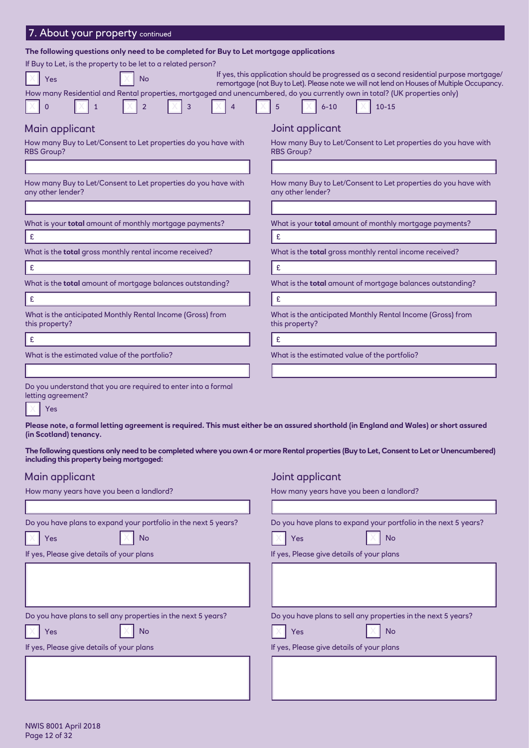| The following questions only need to be completed for Buy to Let mortgage applications                                      |                                                                                                                                                                                       |
|-----------------------------------------------------------------------------------------------------------------------------|---------------------------------------------------------------------------------------------------------------------------------------------------------------------------------------|
| If Buy to Let, is the property to be let to a related person?                                                               |                                                                                                                                                                                       |
| <b>No</b><br>Yes                                                                                                            | If yes, this application should be progressed as a second residential purpose mortgage/<br>remortgage (not Buy to Let). Please note we will not lend on Houses of Multiple Occupancy. |
| How many Residential and Rental properties, mortgaged and unencumbered, do you currently own in total? (UK properties only) |                                                                                                                                                                                       |
| O                                                                                                                           | 5<br>$6 - 10$<br>$10 - 15$                                                                                                                                                            |
| Main applicant                                                                                                              | Joint applicant                                                                                                                                                                       |
| How many Buy to Let/Consent to Let properties do you have with<br><b>RBS Group?</b>                                         | How many Buy to Let/Consent to Let properties do you have with<br><b>RBS Group?</b>                                                                                                   |
|                                                                                                                             |                                                                                                                                                                                       |
| How many Buy to Let/Consent to Let properties do you have with<br>any other lender?                                         | How many Buy to Let/Consent to Let properties do you have with<br>any other lender?                                                                                                   |
|                                                                                                                             |                                                                                                                                                                                       |
| What is your <b>total</b> amount of monthly mortgage payments?                                                              | What is your <b>total</b> amount of monthly mortgage payments?                                                                                                                        |
| $\epsilon$                                                                                                                  | £                                                                                                                                                                                     |
| What is the total gross monthly rental income received?                                                                     | What is the total gross monthly rental income received?                                                                                                                               |
| $\epsilon$                                                                                                                  | £                                                                                                                                                                                     |
| What is the total amount of mortgage balances outstanding?                                                                  | What is the <b>total</b> amount of mortgage balances outstanding?                                                                                                                     |
| $\mathbf{E}$                                                                                                                | £                                                                                                                                                                                     |
| What is the anticipated Monthly Rental Income (Gross) from<br>this property?                                                | What is the anticipated Monthly Rental Income (Gross) from<br>this property?                                                                                                          |
| $\pmb{\mathsf{E}}$                                                                                                          | £                                                                                                                                                                                     |
| What is the estimated value of the portfolio?                                                                               | What is the estimated value of the portfolio?                                                                                                                                         |
|                                                                                                                             |                                                                                                                                                                                       |
| Do you understand that you are required to enter into a formal<br>letting agreement?                                        |                                                                                                                                                                                       |

Yes

**Please note, a formal letting agreement is required. This must either be an assured shorthold (in England and Wales) or short assured (in Scotland) tenancy.**

**The following questions only need to be completed where you own 4 or more Rental properties (Buy to Let, Consent to Let or Unencumbered) including this property being mortgaged:**

#### Main applicant  $\blacksquare$

| How many years have you been a landlord? |  |  |  |
|------------------------------------------|--|--|--|
|------------------------------------------|--|--|--|

7. About your property continued

How many years have you been a landlord?

| Do you have plans to expand your portfolio in the next 5 years? | Do you have plans to expand your portfolio in the next 5 years? |
|-----------------------------------------------------------------|-----------------------------------------------------------------|
| Yes<br>No                                                       | <b>No</b><br>Yes                                                |
| If yes, Please give details of your plans                       | If yes, Please give details of your plans                       |
|                                                                 |                                                                 |
| Do you have plans to sell any properties in the next 5 years?   | Do you have plans to sell any properties in the next 5 years?   |
| No<br>Yes                                                       | <b>No</b><br>Yes                                                |
| If yes, Please give details of your plans                       | If yes, Please give details of your plans                       |
|                                                                 |                                                                 |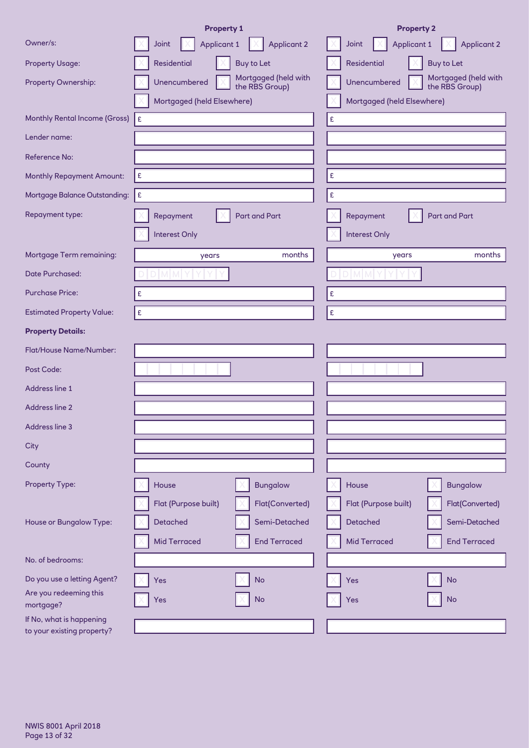|                                                        | <b>Property 1</b>                                      | <b>Property 2</b>                                      |
|--------------------------------------------------------|--------------------------------------------------------|--------------------------------------------------------|
| Owner/s:                                               | <b>Applicant 1</b><br><b>Applicant 2</b><br>Joint      | <b>Applicant 1</b><br><b>Applicant 2</b><br>Joint      |
| <b>Property Usage:</b>                                 | Residential<br><b>Buy to Let</b>                       | <b>Residential</b><br><b>Buy to Let</b>                |
| Property Ownership:                                    | Mortgaged (held with<br>Unencumbered<br>the RBS Group) | Mortgaged (held with<br>Unencumbered<br>the RBS Group) |
|                                                        | Mortgaged (held Elsewhere)                             | Mortgaged (held Elsewhere)                             |
| <b>Monthly Rental Income (Gross)</b>                   | £                                                      | £                                                      |
| Lender name:                                           |                                                        |                                                        |
| <b>Reference No:</b>                                   |                                                        |                                                        |
| <b>Monthly Repayment Amount:</b>                       | £                                                      | $\pmb{\mathsf{E}}$                                     |
| Mortgage Balance Outstanding:                          | £                                                      | $\pmb{\mathfrak{E}}$                                   |
| Repayment type:                                        | <b>Part and Part</b><br>Repayment                      | <b>Part and Part</b><br>Repayment                      |
|                                                        | Interest Only                                          | Interest Only                                          |
| <b>Mortgage Term remaining:</b>                        | months<br>years                                        | months<br>years                                        |
| <b>Date Purchased:</b>                                 | M M I                                                  |                                                        |
| <b>Purchase Price:</b>                                 | £                                                      | £                                                      |
| <b>Estimated Property Value:</b>                       | £                                                      | $\pmb{\mathfrak{E}}$                                   |
| <b>Property Details:</b>                               |                                                        |                                                        |
| Flat/House Name/Number:                                |                                                        |                                                        |
| Post Code:                                             |                                                        |                                                        |
| Address line 1                                         |                                                        |                                                        |
| Address line 2                                         |                                                        |                                                        |
| Address line 3                                         |                                                        |                                                        |
| City                                                   |                                                        |                                                        |
| County                                                 |                                                        |                                                        |
| Property Type:                                         | <b>Bungalow</b><br>House                               | House<br><b>Bungalow</b>                               |
|                                                        | Flat(Converted)<br>Flat (Purpose built)                | Flat (Purpose built)<br>Flat(Converted)                |
| House or Bungalow Type:                                | Semi-Detached<br>Detached                              | <b>Detached</b><br>Semi-Detached                       |
|                                                        | <b>Mid Terraced</b><br><b>End Terraced</b>             | <b>Mid Terraced</b><br><b>End Terraced</b>             |
| No. of bedrooms:                                       |                                                        |                                                        |
| Do you use a letting Agent?                            | <b>No</b><br>Yes                                       | <b>No</b><br>Yes                                       |
| Are you redeeming this<br>mortgage?                    | <b>No</b><br>Yes                                       | <b>No</b><br>Yes                                       |
| If No, what is happening<br>to your existing property? |                                                        |                                                        |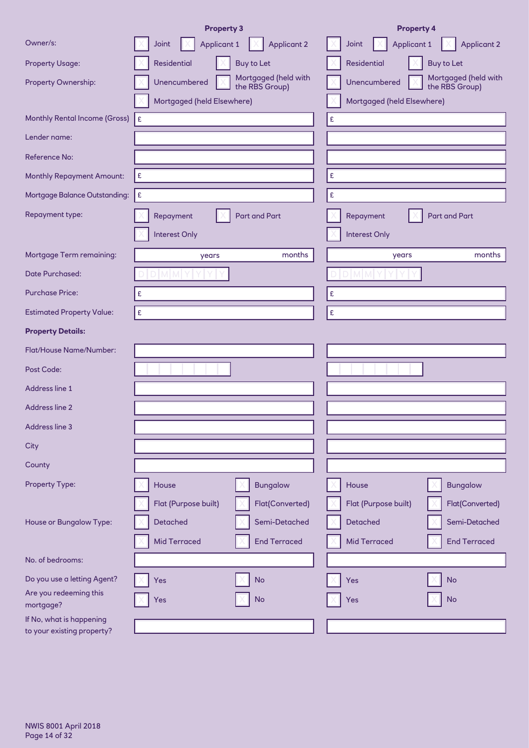|                                                        | <b>Property 3</b>                                      | <b>Property 4</b>                                      |
|--------------------------------------------------------|--------------------------------------------------------|--------------------------------------------------------|
| Owner/s:                                               | <b>Applicant 1</b><br><b>Applicant 2</b><br>Joint      | <b>Applicant 1</b><br><b>Applicant 2</b><br>Joint      |
| <b>Property Usage:</b>                                 | Residential<br><b>Buy to Let</b>                       | <b>Residential</b><br><b>Buy to Let</b>                |
| Property Ownership:                                    | Mortgaged (held with<br>Unencumbered<br>the RBS Group) | Mortgaged (held with<br>Unencumbered<br>the RBS Group) |
|                                                        | Mortgaged (held Elsewhere)                             | Mortgaged (held Elsewhere)                             |
| <b>Monthly Rental Income (Gross)</b>                   | £                                                      | £                                                      |
| Lender name:                                           |                                                        |                                                        |
| <b>Reference No:</b>                                   |                                                        |                                                        |
| <b>Monthly Repayment Amount:</b>                       | £                                                      | $\pmb{\mathsf{E}}$                                     |
| Mortgage Balance Outstanding:                          | £                                                      | $\pmb{\mathfrak{E}}$                                   |
| Repayment type:                                        | <b>Part and Part</b><br>Repayment                      | <b>Part and Part</b><br>Repayment                      |
|                                                        | Interest Only                                          | Interest Only                                          |
| <b>Mortgage Term remaining:</b>                        | months<br>years                                        | months<br>years                                        |
| <b>Date Purchased:</b>                                 | M M I                                                  |                                                        |
| <b>Purchase Price:</b>                                 | £                                                      | £                                                      |
| <b>Estimated Property Value:</b>                       | £                                                      | $\pmb{\mathfrak{E}}$                                   |
| <b>Property Details:</b>                               |                                                        |                                                        |
| Flat/House Name/Number:                                |                                                        |                                                        |
| Post Code:                                             |                                                        |                                                        |
| Address line 1                                         |                                                        |                                                        |
| Address line 2                                         |                                                        |                                                        |
| Address line 3                                         |                                                        |                                                        |
| City                                                   |                                                        |                                                        |
| County                                                 |                                                        |                                                        |
| Property Type:                                         | <b>Bungalow</b><br>House                               | House<br><b>Bungalow</b>                               |
|                                                        | Flat(Converted)<br>Flat (Purpose built)                | Flat (Purpose built)<br>Flat(Converted)                |
| House or Bungalow Type:                                | Semi-Detached<br>Detached                              | <b>Detached</b><br>Semi-Detached                       |
|                                                        | <b>Mid Terraced</b><br><b>End Terraced</b>             | <b>Mid Terraced</b><br><b>End Terraced</b>             |
| No. of bedrooms:                                       |                                                        |                                                        |
| Do you use a letting Agent?                            | <b>No</b><br>Yes                                       | <b>No</b><br>Yes                                       |
| Are you redeeming this<br>mortgage?                    | <b>No</b><br>Yes                                       | <b>No</b><br>Yes                                       |
| If No, what is happening<br>to your existing property? |                                                        |                                                        |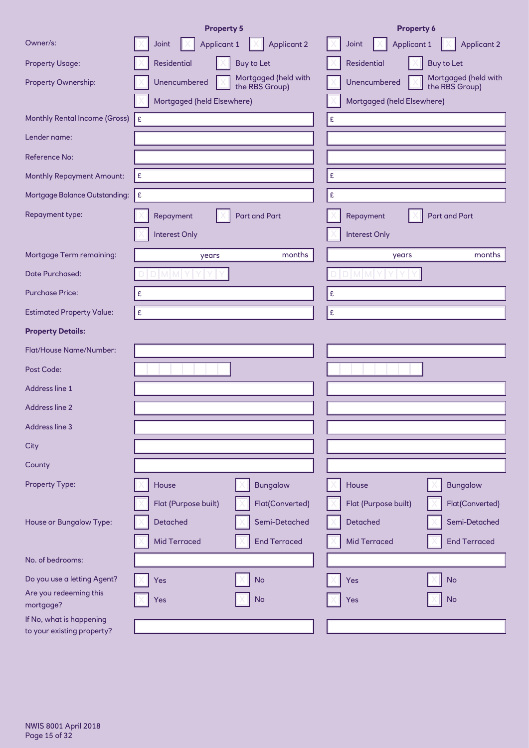|                                                        | <b>Property 5</b>                                      | <b>Property 6</b>                                      |
|--------------------------------------------------------|--------------------------------------------------------|--------------------------------------------------------|
| Owner/s:                                               | <b>Applicant 1</b><br><b>Applicant 2</b><br>Joint      | <b>Applicant 1</b><br><b>Applicant 2</b><br>Joint      |
| <b>Property Usage:</b>                                 | Residential<br><b>Buy to Let</b>                       | <b>Residential</b><br><b>Buy to Let</b>                |
| Property Ownership:                                    | Mortgaged (held with<br>Unencumbered<br>the RBS Group) | Mortgaged (held with<br>Unencumbered<br>the RBS Group) |
|                                                        | Mortgaged (held Elsewhere)                             | Mortgaged (held Elsewhere)                             |
| <b>Monthly Rental Income (Gross)</b>                   | £                                                      | £                                                      |
| Lender name:                                           |                                                        |                                                        |
| <b>Reference No:</b>                                   |                                                        |                                                        |
| <b>Monthly Repayment Amount:</b>                       | $\pmb{\mathsf{E}}$                                     | £                                                      |
| Mortgage Balance Outstanding:                          | £                                                      | $\pmb{\mathfrak{E}}$                                   |
| Repayment type:                                        | <b>Part and Part</b><br>Repayment                      | <b>Part and Part</b><br>Repayment                      |
|                                                        | <b>Interest Only</b>                                   | Interest Only                                          |
| <b>Mortgage Term remaining:</b>                        | months<br>years                                        | months<br>years                                        |
| <b>Date Purchased:</b>                                 | <b>MM</b>                                              |                                                        |
| <b>Purchase Price:</b>                                 | £                                                      | £                                                      |
| <b>Estimated Property Value:</b>                       | £                                                      | $\pmb{\mathfrak{E}}$                                   |
| <b>Property Details:</b>                               |                                                        |                                                        |
| Flat/House Name/Number:                                |                                                        |                                                        |
| Post Code:                                             |                                                        |                                                        |
| Address line 1                                         |                                                        |                                                        |
| <b>Address line 2</b>                                  |                                                        |                                                        |
| Address line 3                                         |                                                        |                                                        |
| City                                                   |                                                        |                                                        |
| County                                                 |                                                        |                                                        |
| Property Type:                                         | <b>Bungalow</b><br>House                               | House<br><b>Bungalow</b>                               |
|                                                        | Flat(Converted)<br>Flat (Purpose built)                | Flat (Purpose built)<br>Flat(Converted)                |
| House or Bungalow Type:                                | Detached<br>Semi-Detached                              | <b>Detached</b><br>Semi-Detached                       |
|                                                        | <b>Mid Terraced</b><br><b>End Terraced</b>             | <b>Mid Terraced</b><br><b>End Terraced</b>             |
| No. of bedrooms:                                       |                                                        |                                                        |
| Do you use a letting Agent?                            | <b>No</b><br>Yes                                       | <b>No</b><br>Yes                                       |
| Are you redeeming this<br>mortgage?                    | <b>No</b><br>Yes                                       | <b>No</b><br>Yes                                       |
| If No, what is happening<br>to your existing property? |                                                        |                                                        |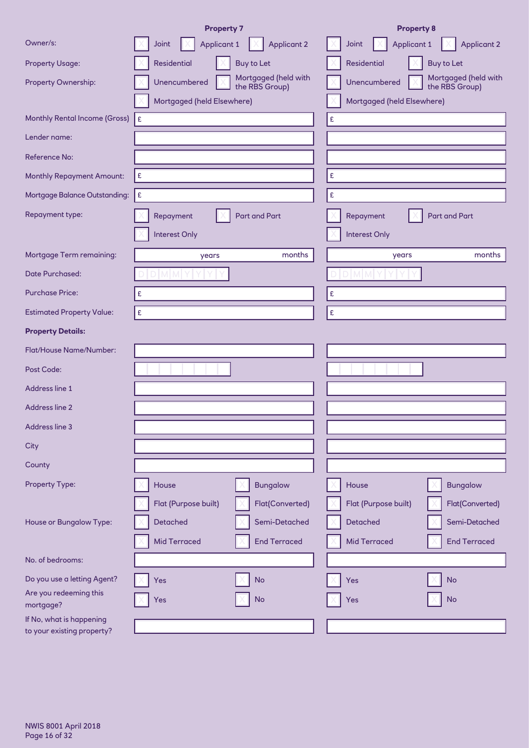|                                                        | <b>Property 7</b>                                      | <b>Property 8</b>                                      |
|--------------------------------------------------------|--------------------------------------------------------|--------------------------------------------------------|
| Owner/s:                                               | <b>Applicant 1</b><br><b>Applicant 2</b><br>Joint      | <b>Applicant 1</b><br><b>Applicant 2</b><br>Joint      |
| <b>Property Usage:</b>                                 | Residential<br><b>Buy to Let</b>                       | <b>Residential</b><br><b>Buy to Let</b>                |
| Property Ownership:                                    | Mortgaged (held with<br>Unencumbered<br>the RBS Group) | Mortgaged (held with<br>Unencumbered<br>the RBS Group) |
|                                                        | Mortgaged (held Elsewhere)                             | Mortgaged (held Elsewhere)                             |
| <b>Monthly Rental Income (Gross)</b>                   | £                                                      | £                                                      |
| Lender name:                                           |                                                        |                                                        |
| <b>Reference No:</b>                                   |                                                        |                                                        |
| <b>Monthly Repayment Amount:</b>                       | £                                                      | $\pmb{\mathfrak{E}}$                                   |
| Mortgage Balance Outstanding:                          | £                                                      | $\pmb{\mathfrak{E}}$                                   |
| Repayment type:                                        | <b>Part and Part</b><br>Repayment                      | <b>Part and Part</b><br>Repayment                      |
|                                                        | Interest Only                                          | Interest Only                                          |
| <b>Mortgage Term remaining:</b>                        | months<br>years                                        | months<br>years                                        |
| <b>Date Purchased:</b>                                 | M M I                                                  |                                                        |
| <b>Purchase Price:</b>                                 | £                                                      | £                                                      |
| <b>Estimated Property Value:</b>                       | £                                                      | $\pmb{\mathfrak{E}}$                                   |
| <b>Property Details:</b>                               |                                                        |                                                        |
| Flat/House Name/Number:                                |                                                        |                                                        |
| Post Code:                                             |                                                        |                                                        |
| Address line 1                                         |                                                        |                                                        |
| Address line 2                                         |                                                        |                                                        |
| Address line 3                                         |                                                        |                                                        |
| City                                                   |                                                        |                                                        |
| County                                                 |                                                        |                                                        |
| Property Type:                                         | <b>Bungalow</b><br>House                               | House<br><b>Bungalow</b>                               |
|                                                        | Flat(Converted)<br>Flat (Purpose built)                | Flat (Purpose built)<br>Flat(Converted)                |
| House or Bungalow Type:                                | Semi-Detached<br>Detached                              | <b>Detached</b><br>Semi-Detached                       |
|                                                        | <b>Mid Terraced</b><br><b>End Terraced</b>             | <b>Mid Terraced</b><br><b>End Terraced</b>             |
| No. of bedrooms:                                       |                                                        |                                                        |
| Do you use a letting Agent?                            | <b>No</b><br>Yes                                       | <b>No</b><br>Yes                                       |
| Are you redeeming this<br>mortgage?                    | <b>No</b><br>Yes                                       | <b>No</b><br>Yes                                       |
| If No, what is happening<br>to your existing property? |                                                        |                                                        |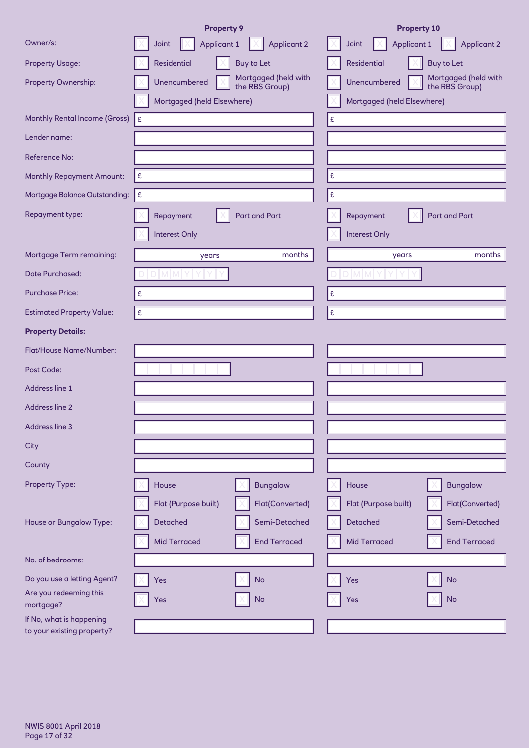|                                                        | <b>Property 9</b>                                      | <b>Property 10</b>                                     |
|--------------------------------------------------------|--------------------------------------------------------|--------------------------------------------------------|
| Owner/s:                                               | <b>Applicant 1</b><br><b>Applicant 2</b><br>Joint      | <b>Applicant 1</b><br><b>Applicant 2</b><br>Joint      |
| <b>Property Usage:</b>                                 | Residential<br><b>Buy to Let</b>                       | <b>Residential</b><br><b>Buy to Let</b>                |
| Property Ownership:                                    | Mortgaged (held with<br>Unencumbered<br>the RBS Group) | Mortgaged (held with<br>Unencumbered<br>the RBS Group) |
|                                                        | Mortgaged (held Elsewhere)                             | Mortgaged (held Elsewhere)                             |
| <b>Monthly Rental Income (Gross)</b>                   | £                                                      | £                                                      |
| Lender name:                                           |                                                        |                                                        |
| <b>Reference No:</b>                                   |                                                        |                                                        |
| <b>Monthly Repayment Amount:</b>                       | £                                                      | $\pmb{\mathfrak{E}}$                                   |
| Mortgage Balance Outstanding:                          | £                                                      | $\pmb{\mathfrak{E}}$                                   |
| Repayment type:                                        | <b>Part and Part</b><br>Repayment                      | <b>Part and Part</b><br>Repayment                      |
|                                                        | Interest Only                                          | Interest Only                                          |
| <b>Mortgage Term remaining:</b>                        | months<br>years                                        | months<br>years                                        |
| <b>Date Purchased:</b>                                 | M M I                                                  |                                                        |
| <b>Purchase Price:</b>                                 | £                                                      | £                                                      |
| <b>Estimated Property Value:</b>                       | £                                                      | $\pmb{\mathfrak{E}}$                                   |
| <b>Property Details:</b>                               |                                                        |                                                        |
| Flat/House Name/Number:                                |                                                        |                                                        |
| Post Code:                                             |                                                        |                                                        |
| Address line 1                                         |                                                        |                                                        |
| Address line 2                                         |                                                        |                                                        |
| Address line 3                                         |                                                        |                                                        |
| City                                                   |                                                        |                                                        |
| County                                                 |                                                        |                                                        |
| Property Type:                                         | <b>Bungalow</b><br>House                               | House<br><b>Bungalow</b>                               |
|                                                        | Flat(Converted)<br>Flat (Purpose built)                | Flat (Purpose built)<br>Flat(Converted)                |
| House or Bungalow Type:                                | Semi-Detached<br>Detached                              | <b>Detached</b><br>Semi-Detached                       |
|                                                        | <b>Mid Terraced</b><br><b>End Terraced</b>             | <b>Mid Terraced</b><br><b>End Terraced</b>             |
| No. of bedrooms:                                       |                                                        |                                                        |
| Do you use a letting Agent?                            | <b>No</b><br>Yes                                       | <b>No</b><br>Yes                                       |
| Are you redeeming this<br>mortgage?                    | <b>No</b><br>Yes                                       | <b>No</b><br>Yes                                       |
| If No, what is happening<br>to your existing property? |                                                        |                                                        |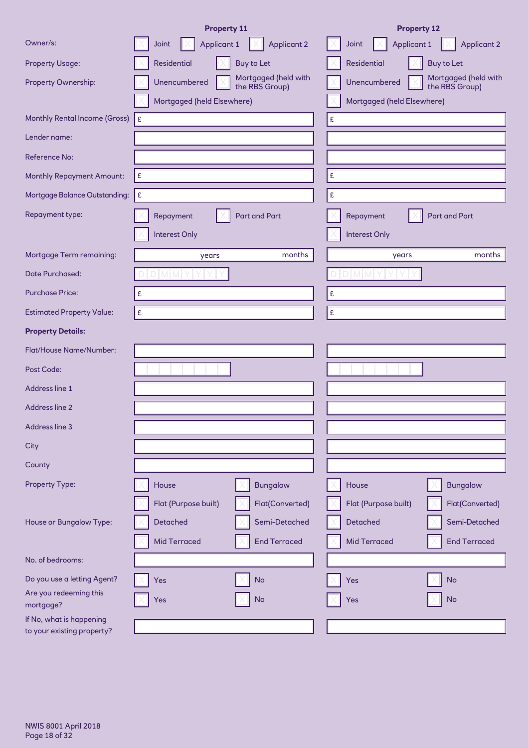|                                                        | <b>Property 11</b>                                     | <b>Property 12</b>                                     |
|--------------------------------------------------------|--------------------------------------------------------|--------------------------------------------------------|
| Owner/s:                                               | <b>Applicant 1</b><br><b>Applicant 2</b><br>Joint      | <b>Applicant 1</b><br><b>Applicant 2</b><br>Joint      |
| <b>Property Usage:</b>                                 | Residential<br><b>Buy to Let</b>                       | <b>Residential</b><br><b>Buy to Let</b>                |
| Property Ownership:                                    | Mortgaged (held with<br>Unencumbered<br>the RBS Group) | Mortgaged (held with<br>Unencumbered<br>the RBS Group) |
|                                                        | Mortgaged (held Elsewhere)                             | Mortgaged (held Elsewhere)                             |
| <b>Monthly Rental Income (Gross)</b>                   | £                                                      | £                                                      |
| Lender name:                                           |                                                        |                                                        |
| <b>Reference No:</b>                                   |                                                        |                                                        |
| <b>Monthly Repayment Amount:</b>                       | $\pmb{\mathsf{E}}$                                     | £                                                      |
| Mortgage Balance Outstanding:                          | £                                                      | $\pmb{\mathfrak{E}}$                                   |
| Repayment type:                                        | <b>Part and Part</b><br>Repayment                      | <b>Part and Part</b><br>Repayment                      |
|                                                        | <b>Interest Only</b>                                   | Interest Only                                          |
| <b>Mortgage Term remaining:</b>                        | months<br>years                                        | months<br>years                                        |
| <b>Date Purchased:</b>                                 | <b>MM</b>                                              |                                                        |
| <b>Purchase Price:</b>                                 | £                                                      | £                                                      |
| <b>Estimated Property Value:</b>                       | £                                                      | $\pmb{\mathfrak{E}}$                                   |
| <b>Property Details:</b>                               |                                                        |                                                        |
| Flat/House Name/Number:                                |                                                        |                                                        |
| Post Code:                                             |                                                        |                                                        |
| Address line 1                                         |                                                        |                                                        |
| Address line 2                                         |                                                        |                                                        |
| Address line 3                                         |                                                        |                                                        |
| City                                                   |                                                        |                                                        |
| County                                                 |                                                        |                                                        |
| Property Type:                                         | <b>Bungalow</b><br>House                               | House<br><b>Bungalow</b>                               |
|                                                        | Flat(Converted)<br>Flat (Purpose built)                | Flat (Purpose built)<br>Flat(Converted)                |
| House or Bungalow Type:                                | Detached<br>Semi-Detached                              | <b>Detached</b><br>Semi-Detached                       |
|                                                        | <b>Mid Terraced</b><br><b>End Terraced</b>             | <b>Mid Terraced</b><br><b>End Terraced</b>             |
| No. of bedrooms:                                       |                                                        |                                                        |
| Do you use a letting Agent?                            | <b>No</b><br>Yes                                       | <b>No</b><br>Yes                                       |
| Are you redeeming this<br>mortgage?                    | <b>No</b><br>Yes                                       | <b>No</b><br>Yes                                       |
| If No, what is happening<br>to your existing property? |                                                        |                                                        |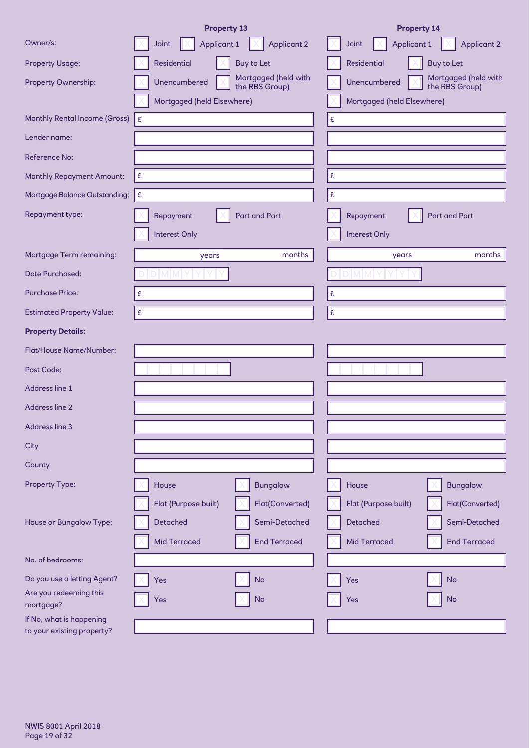|                                                        | <b>Property 13</b>                                     | <b>Property 14</b>                                     |
|--------------------------------------------------------|--------------------------------------------------------|--------------------------------------------------------|
| Owner/s:                                               | <b>Applicant 1</b><br><b>Applicant 2</b><br>Joint      | <b>Applicant 1</b><br><b>Applicant 2</b><br>Joint      |
| <b>Property Usage:</b>                                 | Residential<br><b>Buy to Let</b>                       | <b>Residential</b><br><b>Buy to Let</b>                |
| Property Ownership:                                    | Mortgaged (held with<br>Unencumbered<br>the RBS Group) | Mortgaged (held with<br>Unencumbered<br>the RBS Group) |
|                                                        | Mortgaged (held Elsewhere)                             | Mortgaged (held Elsewhere)                             |
| <b>Monthly Rental Income (Gross)</b>                   | £                                                      | £                                                      |
| Lender name:                                           |                                                        |                                                        |
| <b>Reference No:</b>                                   |                                                        |                                                        |
| <b>Monthly Repayment Amount:</b>                       | £                                                      | $\pmb{\mathfrak{E}}$                                   |
| Mortgage Balance Outstanding:                          | £                                                      | $\pmb{\mathfrak{E}}$                                   |
| Repayment type:                                        | <b>Part and Part</b><br>Repayment                      | <b>Part and Part</b><br>Repayment                      |
|                                                        | Interest Only                                          | Interest Only                                          |
| <b>Mortgage Term remaining:</b>                        | months<br>years                                        | months<br>years                                        |
| Date Purchased:                                        | M M I                                                  |                                                        |
| <b>Purchase Price:</b>                                 | £                                                      | £                                                      |
| <b>Estimated Property Value:</b>                       | £                                                      | $\pmb{\mathfrak{E}}$                                   |
| <b>Property Details:</b>                               |                                                        |                                                        |
| Flat/House Name/Number:                                |                                                        |                                                        |
| Post Code:                                             |                                                        |                                                        |
| Address line 1                                         |                                                        |                                                        |
| Address line 2                                         |                                                        |                                                        |
| Address line 3                                         |                                                        |                                                        |
| City                                                   |                                                        |                                                        |
| County                                                 |                                                        |                                                        |
| Property Type:                                         | <b>Bungalow</b><br>House                               | House<br><b>Bungalow</b>                               |
|                                                        | Flat(Converted)<br>Flat (Purpose built)                | Flat (Purpose built)<br>Flat(Converted)                |
| House or Bungalow Type:                                | Semi-Detached<br>Detached                              | <b>Detached</b><br>Semi-Detached                       |
|                                                        | <b>Mid Terraced</b><br><b>End Terraced</b>             | <b>Mid Terraced</b><br><b>End Terraced</b>             |
| No. of bedrooms:                                       |                                                        |                                                        |
| Do you use a letting Agent?                            | <b>No</b><br>Yes                                       | <b>No</b><br>Yes                                       |
| Are you redeeming this<br>mortgage?                    | <b>No</b><br>Yes                                       | <b>No</b><br>Yes                                       |
| If No, what is happening<br>to your existing property? |                                                        |                                                        |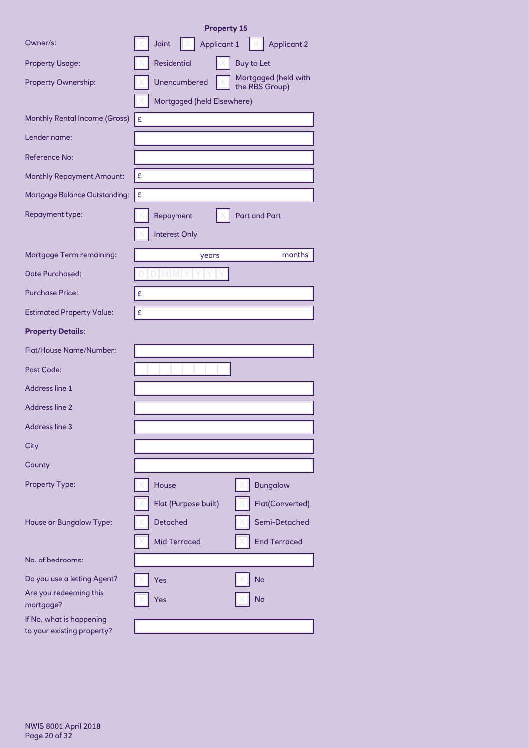|                                                        | <b>Property 15</b>                                     |
|--------------------------------------------------------|--------------------------------------------------------|
| Owner/s:                                               | <b>Applicant 1</b><br>Joint<br><b>Applicant 2</b>      |
| <b>Property Usage:</b>                                 | <b>Residential</b><br><b>Buy to Let</b>                |
| Property Ownership:                                    | Mortgaged (held with<br>Unencumbered<br>the RBS Group) |
|                                                        | Mortgaged (held Elsewhere)                             |
| <b>Monthly Rental Income (Gross)</b>                   | £                                                      |
| Lender name:                                           |                                                        |
| Reference No:                                          |                                                        |
| <b>Monthly Repayment Amount:</b>                       | £                                                      |
| Mortgage Balance Outstanding:                          | £                                                      |
| Repayment type:                                        | <b>Part and Part</b><br>Repayment                      |
|                                                        | <b>Interest Only</b>                                   |
| Mortgage Term remaining:                               | months<br>years                                        |
| <b>Date Purchased:</b>                                 |                                                        |
| <b>Purchase Price:</b>                                 | £                                                      |
| <b>Estimated Property Value:</b>                       | £                                                      |
| <b>Property Details:</b>                               |                                                        |
| <b>Flat/House Name/Number:</b>                         |                                                        |
| Post Code:                                             |                                                        |
| Address line 1                                         |                                                        |
| <b>Address line 2</b>                                  |                                                        |
| Address line 3                                         |                                                        |
| City                                                   |                                                        |
| County                                                 |                                                        |
| <b>Property Type:</b>                                  | <b>Bungalow</b><br>House                               |
|                                                        | Flat (Purpose built)<br>Flat(Converted)                |
| House or Bungalow Type:                                | <b>Detached</b><br>Semi-Detached                       |
|                                                        | <b>Mid Terraced</b><br><b>End Terraced</b>             |
| No. of bedrooms:                                       |                                                        |
| Do you use a letting Agent?                            | <b>No</b><br>Yes                                       |
| Are you redeeming this<br>mortgage?                    | No<br>Yes                                              |
| If No, what is happening<br>to your existing property? |                                                        |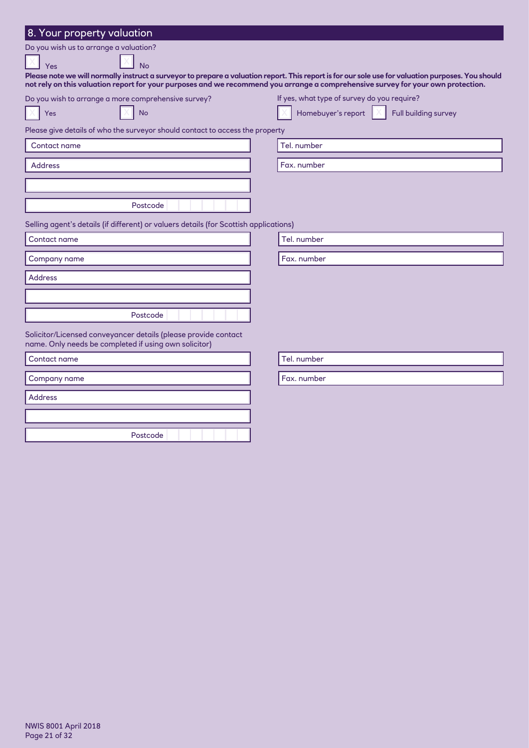| 8. Your property valuation                                                            |                                                                                                                                                                                                                                                                                        |
|---------------------------------------------------------------------------------------|----------------------------------------------------------------------------------------------------------------------------------------------------------------------------------------------------------------------------------------------------------------------------------------|
| Do you wish us to arrange a valuation?                                                |                                                                                                                                                                                                                                                                                        |
| <b>No</b><br>Yes                                                                      |                                                                                                                                                                                                                                                                                        |
|                                                                                       | Please note we will normally instruct a surveyor to prepare a valuation report. This report is for our sole use for valuation purposes. You should<br>not rely on this valuation report for your purposes and we recommend you arrange a comprehensive survey for your own protection. |
| Do you wish to arrange a more comprehensive survey?                                   | If yes, what type of survey do you require?                                                                                                                                                                                                                                            |
| <b>No</b><br>Yes                                                                      | Homebuyer's report $\parallel \times$<br>Full building survey                                                                                                                                                                                                                          |
| Please give details of who the surveyor should contact to access the property         |                                                                                                                                                                                                                                                                                        |
| Contact name                                                                          | Tel. number                                                                                                                                                                                                                                                                            |
| <b>Address</b>                                                                        | Fax. number                                                                                                                                                                                                                                                                            |
|                                                                                       |                                                                                                                                                                                                                                                                                        |
|                                                                                       |                                                                                                                                                                                                                                                                                        |
| Postcode                                                                              |                                                                                                                                                                                                                                                                                        |
| Selling agent's details (if different) or valuers details (for Scottish applications) |                                                                                                                                                                                                                                                                                        |
| Contact name                                                                          | Tel. number                                                                                                                                                                                                                                                                            |
| Company name                                                                          | Fax. number                                                                                                                                                                                                                                                                            |
| <b>Address</b>                                                                        |                                                                                                                                                                                                                                                                                        |
|                                                                                       |                                                                                                                                                                                                                                                                                        |
| Postcode                                                                              |                                                                                                                                                                                                                                                                                        |
| Solicitor/Licensed conveyancer details (please provide contact                        |                                                                                                                                                                                                                                                                                        |
| name. Only needs be completed if using own solicitor)                                 |                                                                                                                                                                                                                                                                                        |
| Contact name                                                                          | Tel. number                                                                                                                                                                                                                                                                            |
| Company name                                                                          | Fax. number                                                                                                                                                                                                                                                                            |
| <b>Address</b>                                                                        |                                                                                                                                                                                                                                                                                        |
|                                                                                       |                                                                                                                                                                                                                                                                                        |
|                                                                                       |                                                                                                                                                                                                                                                                                        |
| Postcode                                                                              |                                                                                                                                                                                                                                                                                        |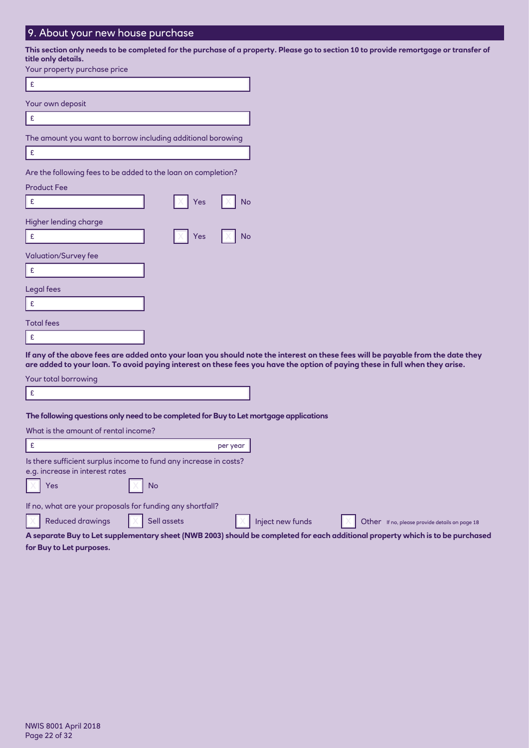## 9. About your new house purchase

**This section only needs to be completed for the purchase of a property. Please go to section 10 to provide remortgage or transfer of title only details.**

| Your property purchase price                                                                                                           |
|----------------------------------------------------------------------------------------------------------------------------------------|
| £                                                                                                                                      |
| Your own deposit                                                                                                                       |
| £                                                                                                                                      |
| The amount you want to borrow including additional borowing                                                                            |
| £                                                                                                                                      |
| Are the following fees to be added to the loan on completion?                                                                          |
| <b>Product Fee</b>                                                                                                                     |
| No<br>£<br>Yes                                                                                                                         |
| Higher lending charge                                                                                                                  |
| <b>No</b><br>£<br>Yes                                                                                                                  |
| <b>Valuation/Survey fee</b>                                                                                                            |
| £                                                                                                                                      |
| Legal fees                                                                                                                             |
| £                                                                                                                                      |
| <b>Total fees</b>                                                                                                                      |
| £                                                                                                                                      |
| If any of the above fees are added onto your loan you should note<br>are added to your loan. To avoid paying interest on these fees yo |

**I** a the interest on these fees will be payable from the date they **are added to your loan. To avoid paying interest on these fees you have the option of paying these in full when they arise.**

Your total borrowing

£

#### **The following questions only need to be completed for Buy to Let mortgage applications**

| What is the amount of rental income?                                                                                           |                  |                                                |  |  |
|--------------------------------------------------------------------------------------------------------------------------------|------------------|------------------------------------------------|--|--|
|                                                                                                                                | per year         |                                                |  |  |
| Is there sufficient surplus income to fund any increase in costs?                                                              |                  |                                                |  |  |
| e.g. increase in interest rates                                                                                                |                  |                                                |  |  |
| Yes<br><b>No</b>                                                                                                               |                  |                                                |  |  |
| If no, what are your proposals for funding any shortfall?                                                                      |                  |                                                |  |  |
| <b>Reduced drawings</b><br>Sell assets                                                                                         | Inject new funds | Other If no, please provide details on page 18 |  |  |
| A separate Buy to Let supplementary sheet (NWB 2003) should be completed for each additional property which is to be purchased |                  |                                                |  |  |

**for Buy to Let purposes.**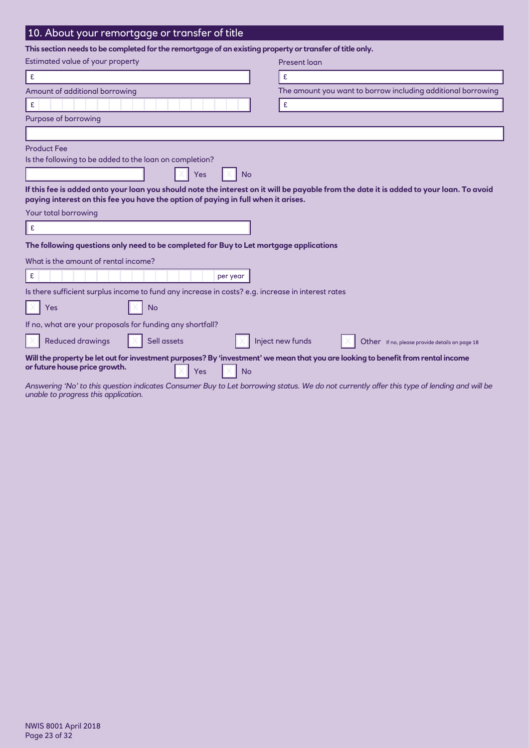## 10. About your remortgage or transfer of title

**This section needs to be completed for the remortgage of an existing property or transfer of title only.**

| Estimated value of your property                                                                                                                                                      | <b>Present loan</b>                                                                                                                        |
|---------------------------------------------------------------------------------------------------------------------------------------------------------------------------------------|--------------------------------------------------------------------------------------------------------------------------------------------|
| £                                                                                                                                                                                     | £                                                                                                                                          |
| Amount of additional borrowing                                                                                                                                                        | The amount you want to borrow including additional borrowing                                                                               |
| £                                                                                                                                                                                     | £                                                                                                                                          |
| Purpose of borrowing                                                                                                                                                                  |                                                                                                                                            |
|                                                                                                                                                                                       |                                                                                                                                            |
| <b>Product Fee</b><br>Is the following to be added to the loan on completion?<br>Yes<br><b>No</b>                                                                                     |                                                                                                                                            |
| paying interest on this fee you have the option of paying in full when it arises.                                                                                                     | If this fee is added onto your loan you should note the interest on it will be payable from the date it is added to your loan. To avoid    |
| Your total borrowing                                                                                                                                                                  |                                                                                                                                            |
| £                                                                                                                                                                                     |                                                                                                                                            |
| The following questions only need to be completed for Buy to Let mortgage applications                                                                                                |                                                                                                                                            |
| What is the amount of rental income?                                                                                                                                                  |                                                                                                                                            |
| £<br>per year                                                                                                                                                                         |                                                                                                                                            |
| Is there sufficient surplus income to fund any increase in costs? e.g. increase in interest rates                                                                                     |                                                                                                                                            |
| Yes<br>No                                                                                                                                                                             |                                                                                                                                            |
| If no, what are your proposals for funding any shortfall?                                                                                                                             |                                                                                                                                            |
| <b>Reduced drawings</b><br>Sell assets                                                                                                                                                | Inject new funds<br>Other If no, please provide details on page 18                                                                         |
| Will the property be let out for investment purposes? By 'investment' we mean that you are looking to benefit from rental income<br>or future house price growth.<br><b>No</b><br>Yes |                                                                                                                                            |
|                                                                                                                                                                                       | Answering 'No' to this question indicates Consumer Buy to Let borrowing status. We do not currently offer this type of lending and will be |

*unable to progress this application.*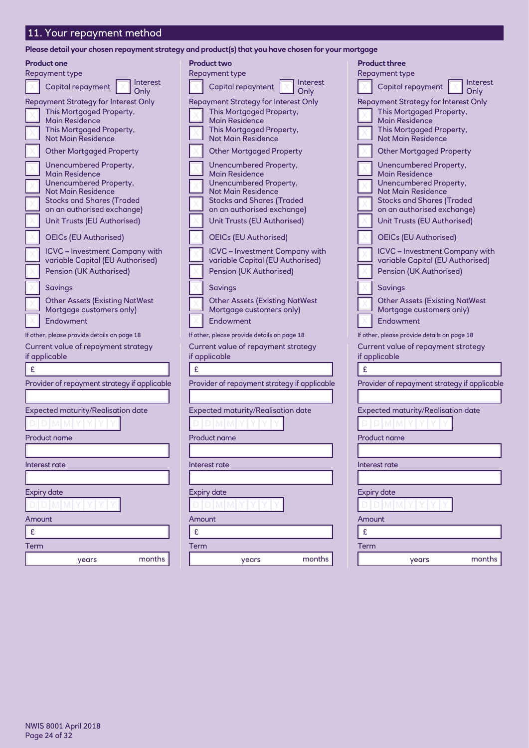## 11. Your repayment method

**Please detail your chosen repayment strategy and product(s) that you have chosen for your mortgage**

| <b>Product one</b><br>Repayment type                                                                                                                                                                                                                                                                                                                                                                                                                                                                                                                                                                                                                                                                                                                        | <b>Product two</b>                                                                                                                                                                                                                                                                                                                                                                                                                                                                                                                                                                                                                                                                                                                            |
|-------------------------------------------------------------------------------------------------------------------------------------------------------------------------------------------------------------------------------------------------------------------------------------------------------------------------------------------------------------------------------------------------------------------------------------------------------------------------------------------------------------------------------------------------------------------------------------------------------------------------------------------------------------------------------------------------------------------------------------------------------------|-----------------------------------------------------------------------------------------------------------------------------------------------------------------------------------------------------------------------------------------------------------------------------------------------------------------------------------------------------------------------------------------------------------------------------------------------------------------------------------------------------------------------------------------------------------------------------------------------------------------------------------------------------------------------------------------------------------------------------------------------|
| <b>Interest</b><br>Capital repayment                                                                                                                                                                                                                                                                                                                                                                                                                                                                                                                                                                                                                                                                                                                        | Repayment type<br><b>Interest</b><br>Capital repayment                                                                                                                                                                                                                                                                                                                                                                                                                                                                                                                                                                                                                                                                                        |
| Only<br><b>Repayment Strategy for Interest Only</b><br>This Mortgaged Property,<br><b>Main Residence</b><br>This Mortgaged Property,<br><b>Not Main Residence</b><br><b>Other Mortgaged Property</b><br>Unencumbered Property,<br><b>Main Residence</b><br>Unencumbered Property,<br><b>Not Main Residence</b><br><b>Stocks and Shares (Traded</b><br>on an authorised exchange)<br>Unit Trusts (EU Authorised)<br><b>OEICs (EU Authorised)</b><br><b>ICVC</b> – Investment Company with<br>variable Capital (EU Authorised)<br>Pension (UK Authorised)<br>Savings<br><b>Other Assets (Existing NatWest</b><br>Mortgage customers only)<br>Endowment<br>If other, please provide details on page 18<br>Current value of repayment strategy<br>if applicable | Only<br><b>Repayment Strategy for Interest Only</b><br>This Mortgaged Property,<br><b>Main Residence</b><br>This Mortgaged Property,<br>Not Main Residence<br><b>Other Mortgaged Property</b><br>Unencumbered Property,<br><b>Main Residence</b><br>Unencumbered Property,<br>Not Main Residence<br><b>Stocks and Shares (Traded</b><br>on an authorised exchange)<br>Unit Trusts (EU Authorised)<br><b>OEICs (EU Authorised)</b><br><b>ICVC</b> - Investment Company with<br>variable Capital (EU Authorised)<br>Pension (UK Authorised)<br>Savings<br><b>Other Assets (Existing NatWest</b><br>Mortgage customers only)<br>Endowment<br>If other, please provide details on page 18<br>Current value of repayment strategy<br>if applicable |
| £                                                                                                                                                                                                                                                                                                                                                                                                                                                                                                                                                                                                                                                                                                                                                           | £                                                                                                                                                                                                                                                                                                                                                                                                                                                                                                                                                                                                                                                                                                                                             |
| Provider of repayment strategy if applicable                                                                                                                                                                                                                                                                                                                                                                                                                                                                                                                                                                                                                                                                                                                | Provider of repayment strategy if applicable                                                                                                                                                                                                                                                                                                                                                                                                                                                                                                                                                                                                                                                                                                  |
| <b>Expected maturity/Realisation date</b><br><b>Product name</b>                                                                                                                                                                                                                                                                                                                                                                                                                                                                                                                                                                                                                                                                                            | <b>Expected maturity/Realisation date</b><br>Product name                                                                                                                                                                                                                                                                                                                                                                                                                                                                                                                                                                                                                                                                                     |
| Interest rate                                                                                                                                                                                                                                                                                                                                                                                                                                                                                                                                                                                                                                                                                                                                               | Interest rate                                                                                                                                                                                                                                                                                                                                                                                                                                                                                                                                                                                                                                                                                                                                 |
| <b>Expiry date</b>                                                                                                                                                                                                                                                                                                                                                                                                                                                                                                                                                                                                                                                                                                                                          | <b>Expiry date</b>                                                                                                                                                                                                                                                                                                                                                                                                                                                                                                                                                                                                                                                                                                                            |
| DIM MIY                                                                                                                                                                                                                                                                                                                                                                                                                                                                                                                                                                                                                                                                                                                                                     | dimimi                                                                                                                                                                                                                                                                                                                                                                                                                                                                                                                                                                                                                                                                                                                                        |
| Amount                                                                                                                                                                                                                                                                                                                                                                                                                                                                                                                                                                                                                                                                                                                                                      | Amount                                                                                                                                                                                                                                                                                                                                                                                                                                                                                                                                                                                                                                                                                                                                        |
| £                                                                                                                                                                                                                                                                                                                                                                                                                                                                                                                                                                                                                                                                                                                                                           | £                                                                                                                                                                                                                                                                                                                                                                                                                                                                                                                                                                                                                                                                                                                                             |
| Term                                                                                                                                                                                                                                                                                                                                                                                                                                                                                                                                                                                                                                                                                                                                                        | Term                                                                                                                                                                                                                                                                                                                                                                                                                                                                                                                                                                                                                                                                                                                                          |
| months<br>years                                                                                                                                                                                                                                                                                                                                                                                                                                                                                                                                                                                                                                                                                                                                             | months<br>years                                                                                                                                                                                                                                                                                                                                                                                                                                                                                                                                                                                                                                                                                                                               |

|        | <b>Product three</b><br>Repayment type                                    |                  |
|--------|---------------------------------------------------------------------------|------------------|
|        | Capital repayment                                                         | Interest<br>Only |
|        | Repayment Strategy for Interest Only                                      |                  |
|        | This Mortgaged Property,                                                  |                  |
|        | Main Residence<br>This Mortgaged Property,                                |                  |
|        | <b>Not Main Residence</b>                                                 |                  |
|        | <b>Other Mortgaged Property</b>                                           |                  |
|        | Unencumbered Property,                                                    |                  |
|        | <b>Main Residence</b>                                                     |                  |
|        | Unencumbered Property,<br><b>Not Main Residence</b>                       |                  |
|        | <b>Stocks and Shares (Traded</b>                                          |                  |
|        | on an authorised exchange)                                                |                  |
|        | Unit Trusts (EU Authorised)                                               |                  |
|        | <b>OEICs (EU Authorised)</b>                                              |                  |
|        | <b>ICVC</b> - Investment Company with<br>variable Capital (EU Authorised) |                  |
|        | Pension (UK Authorised)                                                   |                  |
|        | Savings                                                                   |                  |
|        | <b>Other Assets (Existing NatWest</b>                                     |                  |
|        | Mortgage customers only)                                                  |                  |
|        | Endowment                                                                 |                  |
|        | If other, please provide details on page 18                               |                  |
|        | Current value of repayment strategy                                       |                  |
|        | if applicable                                                             |                  |
| £      |                                                                           |                  |
|        | Provider of repayment strategy if applicable                              |                  |
|        |                                                                           |                  |
|        | <b>Expected maturity/Realisation date</b>                                 |                  |
|        |                                                                           |                  |
|        |                                                                           |                  |
|        | Product name                                                              |                  |
|        |                                                                           |                  |
|        | Interest rate                                                             |                  |
|        |                                                                           |                  |
|        | <b>Expiry date</b>                                                        |                  |
|        | M                                                                         |                  |
| Amount |                                                                           |                  |
| £      |                                                                           |                  |
| Term   |                                                                           |                  |
|        | years                                                                     | months           |
|        |                                                                           |                  |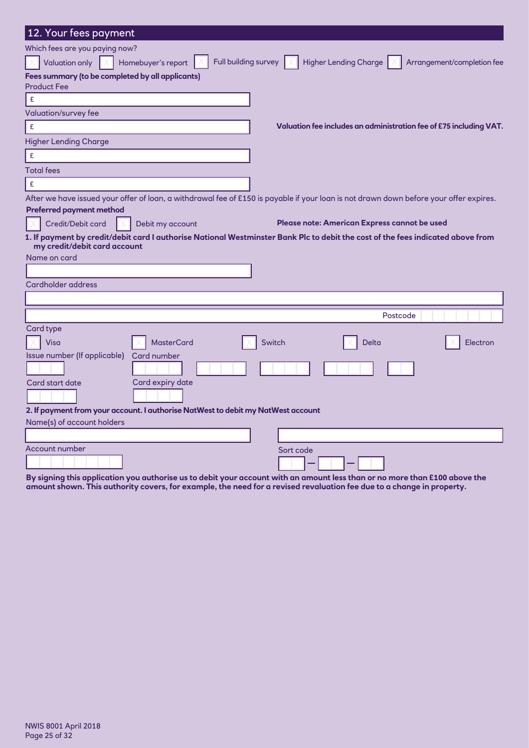| 12. Your fees payment                                                            |                                                                                                                                        |
|----------------------------------------------------------------------------------|----------------------------------------------------------------------------------------------------------------------------------------|
| Which fees are you paying now?                                                   |                                                                                                                                        |
| <b>Valuation only</b><br>Homebuyer's report                                      | Full building survey X<br>Higher Lending Charge<br>Arrangement/completion fee                                                          |
| Fees summary (to be completed by all applicants)                                 |                                                                                                                                        |
| <b>Product Fee</b>                                                               |                                                                                                                                        |
| $\mathbf f$                                                                      |                                                                                                                                        |
| <b>Valuation/survey fee</b>                                                      |                                                                                                                                        |
| $\mathbf f$                                                                      | Valuation fee includes an administration fee of £75 including VAT.                                                                     |
| <b>Higher Lending Charge</b>                                                     |                                                                                                                                        |
| $\mathbf{E}$                                                                     |                                                                                                                                        |
| <b>Total fees</b>                                                                |                                                                                                                                        |
| £                                                                                |                                                                                                                                        |
|                                                                                  | After we have issued your offer of loan, a withdrawal fee of £150 is payable if your loan is not drawn down before your offer expires. |
| <b>Preferred payment method</b>                                                  |                                                                                                                                        |
| Credit/Debit card<br>Debit my account                                            | Please note: American Express cannot be used                                                                                           |
| my credit/debit card account                                                     | 1. If payment by credit/debit card I authorise National Westminster Bank Plc to debit the cost of the fees indicated above from        |
| Name on card                                                                     |                                                                                                                                        |
|                                                                                  |                                                                                                                                        |
| <b>Cardholder address</b>                                                        |                                                                                                                                        |
|                                                                                  |                                                                                                                                        |
|                                                                                  | Postcode                                                                                                                               |
| Card type                                                                        |                                                                                                                                        |
| <b>MasterCard</b><br>Visa                                                        | Switch<br>Electron<br>Delta                                                                                                            |
| Issue number (If applicable)<br>Card number                                      |                                                                                                                                        |
|                                                                                  |                                                                                                                                        |
| Card start date<br>Card expiry date                                              |                                                                                                                                        |
|                                                                                  |                                                                                                                                        |
| 2. If payment from your account. I authorise NatWest to debit my NatWest account |                                                                                                                                        |
| Name(s) of account holders                                                       |                                                                                                                                        |
|                                                                                  |                                                                                                                                        |
|                                                                                  |                                                                                                                                        |
| <b>Account number</b>                                                            | Sort code                                                                                                                              |

**By signing this application you authorise us to debit your account with an amount less than or no more than £100 above the amount shown. This authority covers, for example, the need for a revised revaluation fee due to a change in property.**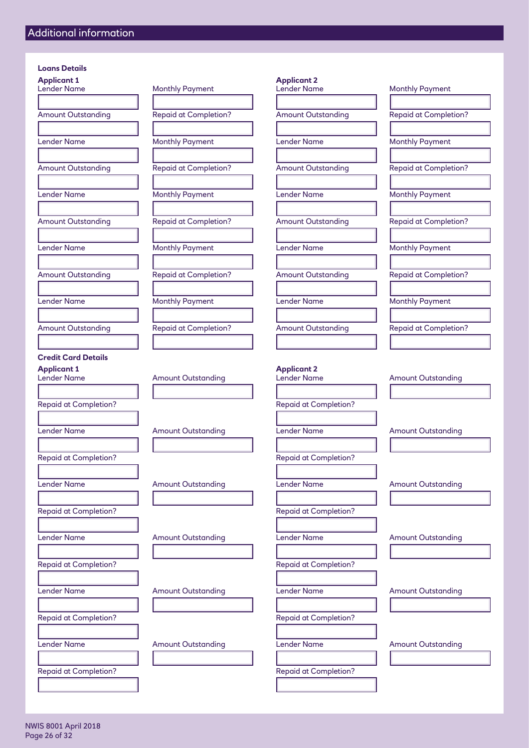#### **Loans Details**

#### **Credit Card Details**

Repaid at Completion? The Completion of the Completion of the Repaid at Completion?

Repaid at Completion? The Completion of the Repaid at Completion?

Repaid at Completion?

| <b>Applicant 1</b>           |                              | <b>Applicant 2</b>           |                             |
|------------------------------|------------------------------|------------------------------|-----------------------------|
| <b>Lender Name</b>           | <b>Monthly Payment</b>       | Lender Name                  | <b>Monthly Payment</b>      |
|                              |                              |                              |                             |
| <b>Amount Outstanding</b>    | <b>Repaid at Completion?</b> | <b>Amount Outstanding</b>    | <b>Repaid at Completion</b> |
|                              |                              |                              |                             |
| <b>Lender Name</b>           | <b>Monthly Payment</b>       | <b>Lender Name</b>           | <b>Monthly Payment</b>      |
|                              |                              |                              |                             |
| <b>Amount Outstanding</b>    | <b>Repaid at Completion?</b> | <b>Amount Outstanding</b>    | <b>Repaid at Completion</b> |
|                              |                              |                              |                             |
| <b>Lender Name</b>           | <b>Monthly Payment</b>       | <b>Lender Name</b>           | <b>Monthly Payment</b>      |
|                              |                              |                              |                             |
| <b>Amount Outstanding</b>    | <b>Repaid at Completion?</b> | <b>Amount Outstanding</b>    | <b>Repaid at Completion</b> |
|                              |                              |                              |                             |
| <b>Lender Name</b>           | <b>Monthly Payment</b>       | <b>Lender Name</b>           | <b>Monthly Payment</b>      |
|                              |                              |                              |                             |
| <b>Amount Outstanding</b>    | <b>Repaid at Completion?</b> | <b>Amount Outstanding</b>    | <b>Repaid at Completion</b> |
|                              |                              |                              |                             |
| <b>Lender Name</b>           | <b>Monthly Payment</b>       | Lender Name                  | <b>Monthly Payment</b>      |
|                              |                              |                              |                             |
| <b>Amount Outstanding</b>    | <b>Repaid at Completion?</b> | <b>Amount Outstanding</b>    | <b>Repaid at Completion</b> |
|                              |                              |                              |                             |
| <b>Credit Card Details</b>   |                              |                              |                             |
| <b>Applicant 1</b>           |                              | <b>Applicant 2</b>           |                             |
| <b>Lender Name</b>           | <b>Amount Outstanding</b>    | Lender Name                  | <b>Amount Outstanding</b>   |
|                              |                              |                              |                             |
| <b>Repaid at Completion?</b> |                              | <b>Repaid at Completion?</b> |                             |
|                              |                              |                              |                             |
| <b>Lender Name</b>           | <b>Amount Outstanding</b>    | <b>Lender Name</b>           | Amount Outstanding          |
|                              |                              |                              |                             |
| <b>Repaid at Completion?</b> |                              | <b>Repaid at Completion?</b> |                             |
|                              |                              |                              |                             |
| <b>Lender Name</b>           | <b>Amount Outstanding</b>    | <b>Lender Name</b>           | <b>Amount Outstanding</b>   |
|                              |                              |                              |                             |
|                              |                              |                              |                             |

Lender Name **Amount Outstanding** Lender Name Amount Outstanding

l

l

l

Lender Name Amount Outstanding Lender Name Amount Outstanding

Lender Name Amount Outstanding Lender Name Amount Outstanding

# Lender Name Monthly Payment Lender Name Monthly Payment Amount Outstanding Repaid at Completion? Amount Outstanding Repaid at Completion? Lender Name Monthly Payment Lender Name Monthly Payment Amount Outstanding **Repaid at Completion?** Amount Outstanding Repaid at Completion? Lender Name Monthly Payment Lender Name Monthly Payment Amount Outstanding The Repaid at Completion? Amount Outstanding Repaid at Completion? Lender Name Monthly Payment Lender Name Monthly Payment Amount Outstanding Repaid at Completion? Amount Outstanding Repaid at Completion? Lender Name Monthly Payment Lender Name Monthly Payment Amount Outstanding **Repaid at Completion?** Amount Outstanding Repaid at Completion?

Repaid at Completion? The Completion of the Repaid at Completion?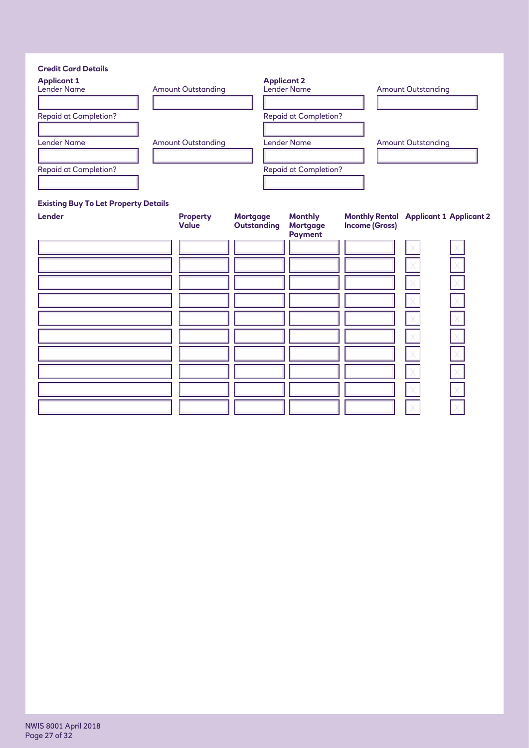| <b>Credit Card Details</b>   |                           |                              |                           |
|------------------------------|---------------------------|------------------------------|---------------------------|
| <b>Applicant 1</b>           |                           | <b>Applicant 2</b>           |                           |
| <b>Lender Name</b>           | <b>Amount Outstanding</b> | <b>Lender Name</b>           | <b>Amount Outstanding</b> |
|                              |                           |                              |                           |
| <b>Repaid at Completion?</b> |                           | <b>Repaid at Completion?</b> |                           |
|                              |                           |                              |                           |
| <b>Lender Name</b>           | <b>Amount Outstanding</b> | Lender Name                  | <b>Amount Outstanding</b> |
|                              |                           |                              |                           |
| <b>Repaid at Completion?</b> |                           | <b>Repaid at Completion?</b> |                           |
|                              |                           |                              |                           |

#### **Existing Buy To Let Property Details**

| Lender | <b>Property</b><br><b>Value</b> | <b>Mortgage</b><br><b>Outstanding</b> | <b>Monthly</b><br><b>Mortgage</b><br><b>Payment</b> | <b>Monthly Rental Applicant 1 Applicant 2</b><br><b>Income (Gross)</b> |  |
|--------|---------------------------------|---------------------------------------|-----------------------------------------------------|------------------------------------------------------------------------|--|
|        |                                 |                                       |                                                     |                                                                        |  |
|        |                                 |                                       |                                                     |                                                                        |  |
|        |                                 |                                       |                                                     |                                                                        |  |
|        |                                 |                                       |                                                     |                                                                        |  |
|        |                                 |                                       |                                                     |                                                                        |  |
|        |                                 |                                       |                                                     |                                                                        |  |
|        |                                 |                                       |                                                     |                                                                        |  |
|        |                                 |                                       |                                                     |                                                                        |  |
|        |                                 |                                       |                                                     |                                                                        |  |
|        |                                 |                                       |                                                     |                                                                        |  |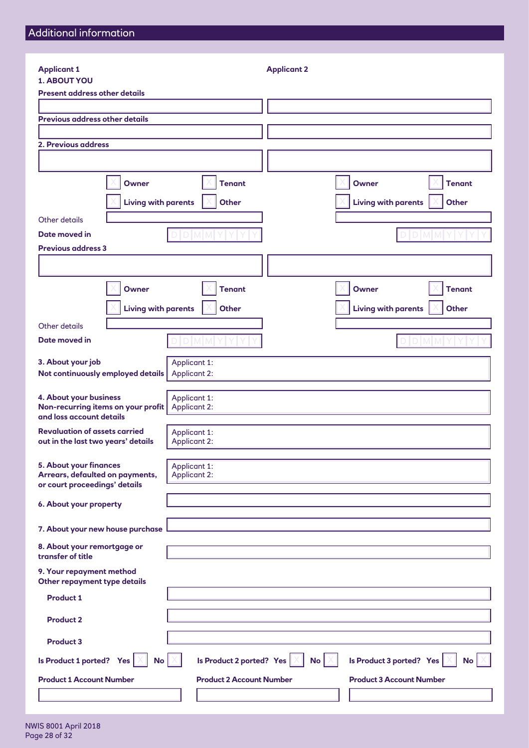| <b>Applicant 1</b>                                                                         |                                            | <b>Applicant 2</b> |                                            |
|--------------------------------------------------------------------------------------------|--------------------------------------------|--------------------|--------------------------------------------|
| <b>1. ABOUT YOU</b>                                                                        |                                            |                    |                                            |
| <b>Present address other details</b>                                                       |                                            |                    |                                            |
| <b>Previous address other details</b>                                                      |                                            |                    |                                            |
|                                                                                            |                                            |                    |                                            |
| 2. Previous address                                                                        |                                            |                    |                                            |
|                                                                                            |                                            |                    |                                            |
| <b>Owner</b>                                                                               | <b>Tenant</b>                              |                    | <b>Owner</b><br><b>Tenant</b>              |
|                                                                                            |                                            |                    |                                            |
|                                                                                            | <b>Living with parents</b><br><b>Other</b> |                    | <b>Living with parents</b><br><b>Other</b> |
| Other details                                                                              |                                            |                    |                                            |
| Date moved in                                                                              |                                            |                    |                                            |
| <b>Previous address 3</b>                                                                  |                                            |                    |                                            |
|                                                                                            |                                            |                    |                                            |
| <b>Owner</b>                                                                               | <b>Tenant</b>                              |                    | <b>Owner</b><br><b>Tenant</b>              |
|                                                                                            | <b>Living with parents</b><br><b>Other</b> |                    | <b>Living with parents</b><br><b>Other</b> |
| Other details                                                                              |                                            |                    |                                            |
| Date moved in                                                                              | DIMIM                                      |                    | D M M                                      |
| 3. About your job<br>Not continuously employed details                                     | Applicant 1:<br>Applicant 2:               |                    |                                            |
| 4. About your business<br>Non-recurring items on your profit<br>and loss account details   | Applicant 1:<br>Applicant 2:               |                    |                                            |
| <b>Revaluation of assets carried</b><br>out in the last two years' details                 | Applicant 1:<br>Applicant 2:               |                    |                                            |
| 5. About your finances<br>Arrears, defaulted on payments,<br>or court proceedings' details | Applicant 1:<br>Applicant 2:               |                    |                                            |
| 6. About your property                                                                     |                                            |                    |                                            |
| 7. About your new house purchase                                                           |                                            |                    |                                            |
| 8. About your remortgage or<br>transfer of title                                           |                                            |                    |                                            |
| 9. Your repayment method<br>Other repayment type details                                   |                                            |                    |                                            |
| <b>Product 1</b>                                                                           |                                            |                    |                                            |
| <b>Product 2</b>                                                                           |                                            |                    |                                            |
| <b>Product 3</b>                                                                           |                                            |                    |                                            |
| Is Product 1 ported? Yes                                                                   | Is Product 2 ported? Yes<br>No             | No                 | Is Product 3 ported? Yes<br>No             |
| <b>Product 1 Account Number</b>                                                            | <b>Product 2 Account Number</b>            |                    | <b>Product 3 Account Number</b>            |
|                                                                                            |                                            |                    |                                            |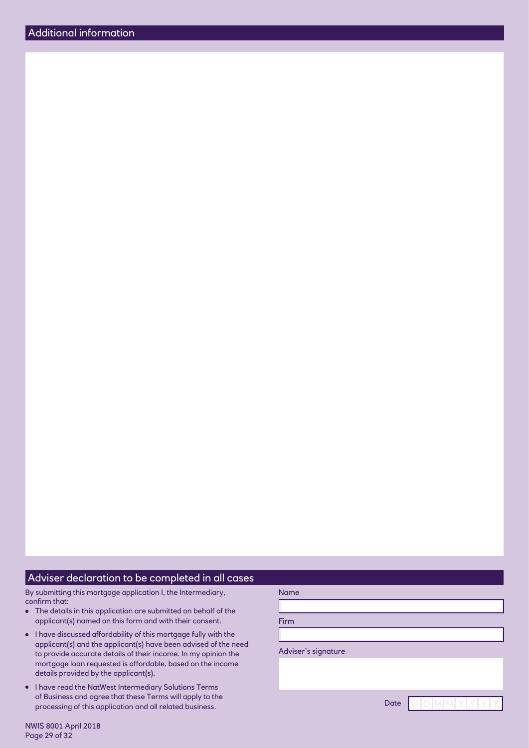#### Adviser declaration to be completed in all cases

By submitting this mortgage application I, the Intermediary, confirm that:

- The details in this application are submitted on behalf of the applicant(s) named on this form and with their consent.
- I have discussed affordability of this mortgage fully with the applicant(s) and the applicant(s) have been advised of the need to provide accurate details of their income. In my opinion the mortgage loan requested is affordable, based on the income details provided by the applicant(s).
- I have read the NatWest Intermediary Solutions Terms of Business and agree that these Terms will apply to the processing of this application and all related business.

Name

NWIS 8001 April 2018 Page 29 of 32

Date  $D$  D M M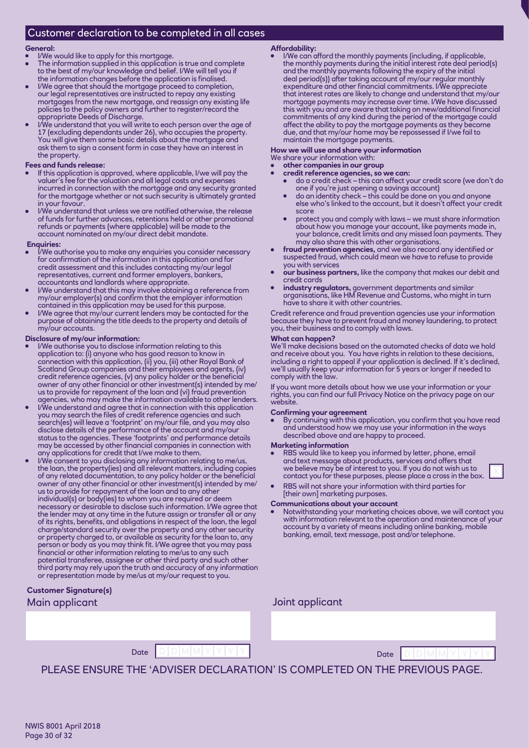## Customer declaration to be completed in all cases

#### **General:**

I/We would like to apply for this mortgage.

- The information supplied in this application is true and complete to the best of my/our knowledge and belief. I/We will tell you if the information changes before the application is finalised.
- I/We agree that should the mortgage proceed to completion, our legal representatives are instructed to repay any existing mortgages from the new mortgage, and reassign any existing life policies to the policy owners and further to register/record the appropriate Deeds of Discharge.
- I/We understand that you will write to each person over the age of 17 (excluding dependants under 26), who occupies the property. You will give them some basic details about the mortgage and ask them to sign a consent form in case they have an interest in the property.

#### **Fees and funds release:**

- If this application is approved, where applicable, I/we will pay the valuer's fee for the valuation and all legal costs and expenses incurred in connection with the mortgage and any security granted for the mortgage whether or not such security is ultimately granted in your favour.
- I/We understand that unless we are notified otherwise, the release of funds for further advances, retentions held or other promotional refunds or payments (where applicable) will be made to the account nominated on my/our direct debit mandate.

#### **Enquiries:**

- I/We authorise you to make any enquiries you consider necessary for confirmation of the information in this application and for for confirmation of the information in this application and for credit assessment and this includes contacting my/our legal representatives, current and former employers, bankers, accountants and landlords where appropriate.
- I/We understand that this may involve obtaining a reference from my/our employer(s) and confirm that the employer information contained in this application may be used for this purpose.
- I/We agree that my/our current lenders may be contacted for the purpose of obtaining the title deeds to the property and details of my/our accounts.

#### **Disclosure of my/our information:**

- I/We authorise you to disclose information relating to this application to: (i) anyone who has good reason to know in connection with this application, (ii) you, (iii) other Royal Bank of Scotland Group companies and their employees and agents, (iv) credit reference agencies, (v) any policy holder or the beneficial owner of any other financial or other investment(s) intended by me/ us to provide for repayment of the loan and (vi) fraud prevention agencies, who may make the information available to other lenders.
- I/We understand and agree that in connection with this application you may search the files of credit reference agencies and such search(es) will leave a 'footprint' on my/our file, and you may also disclose details of the performance of the account and my/our status to the agencies. These 'footprints' and performance details may be accessed by other financial companies in connection with any applications for credit that I/we make to them.
- I/We consent to you disclosing any information relating to me/us, the loan, the property(ies) and all relevant matters, including copies of any related documentation, to any policy holder or the beneficial owner of any other financial or other investment(s) intended by me/ us to provide for repayment of the loan and to any other individual(s) or body(ies) to whom you are required or deem necessary or desirable to disclose such information. I/We agree that the lender may at any time in the future assign or transfer all or any of its rights, benefits, and obligations in respect of the loan, the legal charge/standard security over the property and any other security or property charged to, or available as security for the loan to, any person or body as you may think fit. I/We agree that you may pass financial or other information relating to me/us to any such potential transferee, assignee or other third party and such other third party may rely upon the truth and accuracy of any information or representation made by me/us at my/our request to you.

#### **Customer Signature(s)** Main applicant and the state of the state of the Joint applicant

**Affordability:**

● I/We can afford the monthly payments (including, if applicable, the monthly payments during the initial interest rate deal period(s) and the monthly payments following the expiry of the initial deal period(s)) after taking account of my/our regular monthly expenditure and other financial commitments. I/We appreciate that interest rates are likely to change and understand that my/our mortgage payments may increase over time. I/We have discussed this with you and are aware that taking on new/additional financial commitments of any kind during the period of the mortgage could affect the ability to pay the mortgage payments as they become due, and that my/our home may be repossessed if I/we fail to maintain the mortgage payments.

#### **How we will use and share your information**

- We share your information with: other companies in our group
- **credit reference agencies, so we can:**
	- do a credit check this can affect your credit score (we don't do one if you're just opening a savings account)
	- do an identity check this could be done on you and anyone else who's linked to the account, but it doesn't affect your credit score
	- protect you and comply with laws we must share information about how you manage your account, like payments made in, your balance, credit limits and any missed loan payments. They may also share this with other organisations.
- ● **fraud prevention agencies,** and we also record any identified or suspected fraud, which could mean we have to refuse to provide you with services
- **our business partners,** like the company that makes our debit and credit cards
- ● **industry regulators,** government departments and similar organisations, like HM Revenue and Customs, who might in turn have to share it with other countries.

Credit reference and fraud prevention agencies use your information because they have to prevent fraud and money laundering, to protect you, their business and to comply with laws.

#### **What can happen?**

We'll make decisions based on the automated checks of data we hold and receive about you. You have rights in relation to these decisions, including a right to appeal if your application is declined. If it's declined, we'll usually keep your information for 5 years or longer if needed to comply with the law.

If you want more details about how we use your information or your rights, you can find our full Privacy Notice on the privacy page on our website.

#### **Confirming your agreement**

By continuing with this application, you confirm that you have read and understood how we may use your information in the ways described above and are happy to proceed.

#### **Marketing information**

- RBS would like to keep you informed by letter, phone, email and text message about products, services and offers that we believe may be of interest to you. If you do not wish us to contact you for these purposes, please place a cross in the box. <sup>X</sup>
- ●RBS will not share your information with third parties for [their own] marketing purposes.

#### **Communications about your account**

Notwithstanding your marketing choices above, we will contact you with information relevant to the operation and maintenance of your account by a variety of means including online banking, mobile banking, email, text message, post and/or telephone.



PLEASE ENSURE THE 'ADVISER DECLARATION' IS COMPLETED ON THE PREVIOUS PAGE.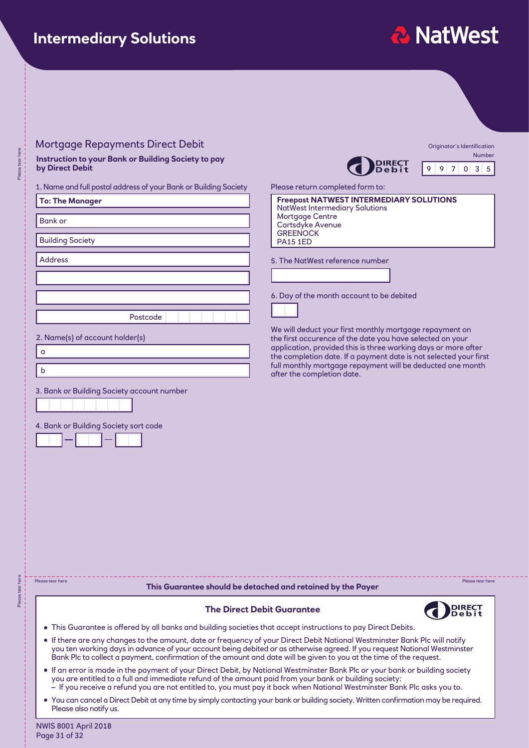## **Intermediary Solutions**

# **2 NatWest**

#### Mortgage Repayments Direct Debit

**Instruction to your Bank or Building Society to pay by Direct Debit**

#### 1. Name and full postal address of your Bank or Building Society Please return completed form to:

| <b>To: The Manager</b>                                                             | <b>Freepost NA</b><br>NatWest Inte                   |
|------------------------------------------------------------------------------------|------------------------------------------------------|
| <b>Bank or</b>                                                                     | Mortgage Co<br>Cartsdyke A<br><b>GREENOCK</b>        |
| <b>Building Society</b>                                                            | <b>PA15 1ED</b>                                      |
| <b>Address</b>                                                                     | 5. The NatWes                                        |
|                                                                                    |                                                      |
|                                                                                    | 6. Day of the n                                      |
| Postcode                                                                           |                                                      |
| 2. Name(s) of account holder(s)                                                    | We will deduct<br>the first occur<br>application, pr |
| $\alpha$                                                                           | the completior<br>full monthly m                     |
| $\mathsf b$                                                                        | after the comp                                       |
| 3. Bank or Building Society account number                                         |                                                      |
| 4. Bank or Building Society sort code                                              |                                                      |
|                                                                                    |                                                      |
|                                                                                    |                                                      |
|                                                                                    |                                                      |
|                                                                                    |                                                      |
|                                                                                    |                                                      |
| Please tear here<br>This Guarantee should be detached and retain                   |                                                      |
|                                                                                    | <b>The Direct Debit Guarantee</b>                    |
| • This Guarantee is offered by all banks and building societies that accept instru |                                                      |





Number 9 9 7 0 3 5

| <b>Freepost NATWEST INTERMEDIARY SOLUTIONS</b> |
|------------------------------------------------|
| NatWest Intermediary Solutions                 |
| Mortgage Centre                                |
| <b>Cartsdyke Avenue</b>                        |
| I GREENOCK                                     |
| $\mathsf I$ PA15 1ED                           |
|                                                |
| 5. The NatWest reference number                |

he month account to be debited

duct your first monthly mortgage repayment on the first curence of the date you have selected on your n, provided this is three working days or more after etion date. If a payment date is not selected your first ly mortgage repayment will be deducted one month completion date.

**The Guarantee should by the Payer** Please tear here Please tear here Please tear here



- **nstructions to pay Direct Debits.**
- ●If there are any changes to the amount, date or frequency of your Direct Debit National Westminster Bank Plc will notify you ten working days in advance of your account being debited or as otherwise agreed. If you request National Westminster Bank Plc to collect a payment, confirmation of the amount and date will be given to you at the time of the request.
- ●If an error is made in the payment of your Direct Debit, by National Westminster Bank Plc or your bank or building society you are entitled to a full and immediate refund of the amount paid from your bank or building society: – If you receive a refund you are not entitled to, you must pay it back when National Westminster Bank Plc asks you to.
- You can cancel a Direct Debit at any time by simply contacting your bank or building society. Written confirmation may be required. Please also notify us.

NWIS 8001 April 2018 Page 31 of 32